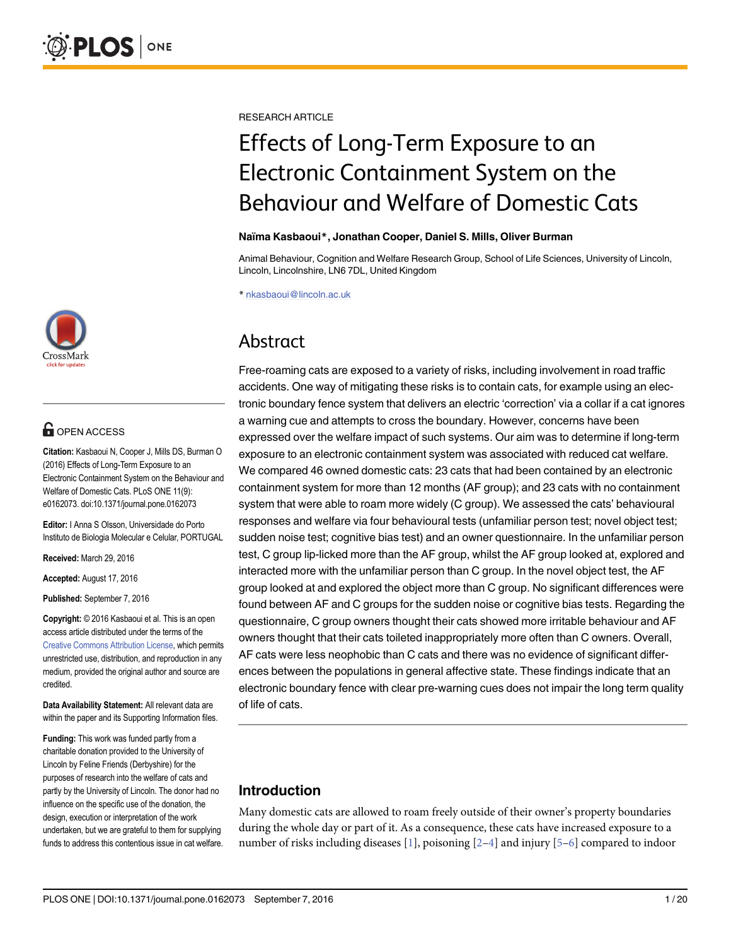

# **G** OPEN ACCESS

Citation: Kasbaoui N, Cooper J, Mills DS, Burman O (2016) Effects of Long-Term Exposure to an Electronic Containment System on the Behaviour and Welfare of Domestic Cats. PLoS ONE 11(9): e0162073. doi:10.1371/journal.pone.0162073

Editor: I Anna S Olsson, Universidade do Porto Instituto de Biologia Molecular e Celular, PORTUGAL

Received: March 29, 2016

Accepted: August 17, 2016

Published: September 7, 2016

Copyright: © 2016 Kasbaoui et al. This is an open access article distributed under the terms of the [Creative Commons Attribution License,](http://creativecommons.org/licenses/by/4.0/) which permits unrestricted use, distribution, and reproduction in any medium, provided the original author and source are credited.

Data Availability Statement: All relevant data are within the paper and its Supporting Information files.

Funding: This work was funded partly from a charitable donation provided to the University of Lincoln by Feline Friends (Derbyshire) for the purposes of research into the welfare of cats and partly by the University of Lincoln. The donor had no influence on the specific use of the donation, the design, execution or interpretation of the work undertaken, but we are grateful to them for supplying funds to address this contentious issue in cat welfare. <span id="page-0-0"></span>RESEARCH ARTICLE

# Effects of Long-Term Exposure to an Electronic Containment System on the Behaviour and Welfare of Domestic Cats

#### Naïma Kasbaoui\*, Jonathan Cooper, Daniel S. Mills, Oliver Burman

Animal Behaviour, Cognition and Welfare Research Group, School of Life Sciences, University of Lincoln, Lincoln, Lincolnshire, LN6 7DL, United Kingdom

\* nkasbaoui@lincoln.ac.uk

# Abstract

Free-roaming cats are exposed to a variety of risks, including involvement in road traffic accidents. One way of mitigating these risks is to contain cats, for example using an electronic boundary fence system that delivers an electric 'correction' via a collar if a cat ignores a warning cue and attempts to cross the boundary. However, concerns have been expressed over the welfare impact of such systems. Our aim was to determine if long-term exposure to an electronic containment system was associated with reduced cat welfare. We compared 46 owned domestic cats: 23 cats that had been contained by an electronic containment system for more than 12 months (AF group); and 23 cats with no containment system that were able to roam more widely (C group). We assessed the cats' behavioural responses and welfare via four behavioural tests (unfamiliar person test; novel object test; sudden noise test; cognitive bias test) and an owner questionnaire. In the unfamiliar person test, C group lip-licked more than the AF group, whilst the AF group looked at, explored and interacted more with the unfamiliar person than C group. In the novel object test, the AF group looked at and explored the object more than C group. No significant differences were found between AF and C groups for the sudden noise or cognitive bias tests. Regarding the questionnaire, C group owners thought their cats showed more irritable behaviour and AF owners thought that their cats toileted inappropriately more often than C owners. Overall, AF cats were less neophobic than C cats and there was no evidence of significant differences between the populations in general affective state. These findings indicate that an electronic boundary fence with clear pre-warning cues does not impair the long term quality of life of cats.

# Introduction

Many domestic cats are allowed to roam freely outside of their owner's property boundaries during the whole day or part of it. As a consequence, these cats have increased exposure to a number of risks including diseases [[1](#page-16-0)], poisoning  $[2-4]$  $[2-4]$  $[2-4]$  $[2-4]$  and injury [[5](#page-16-0)–[6](#page-16-0)] compared to indoor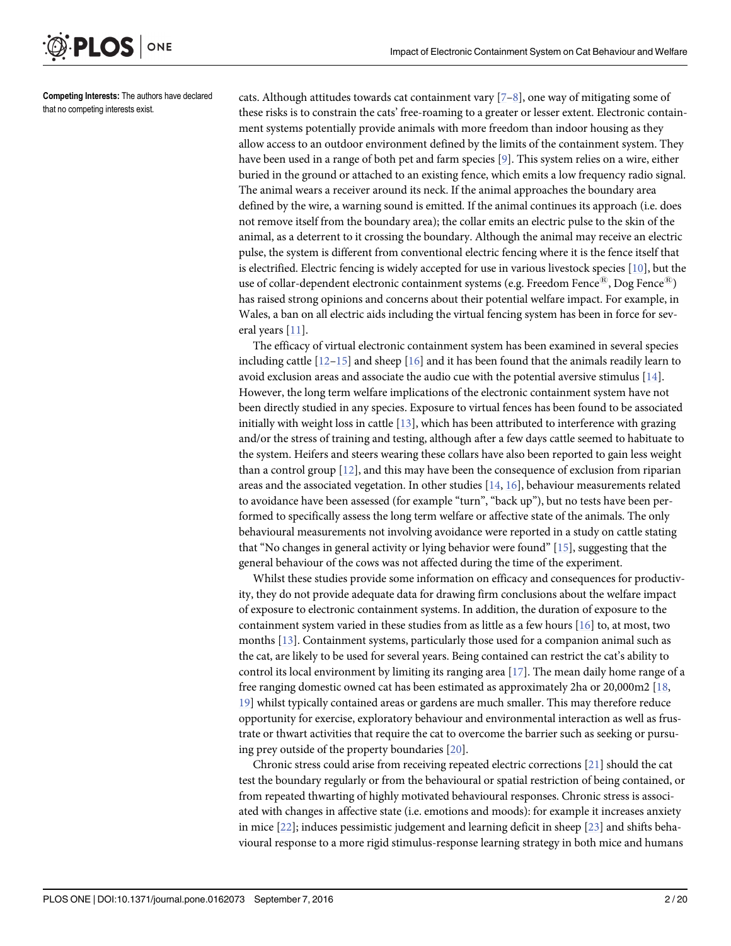Competing Interests: The authors have declared that no competing interests exist.

ONE

<span id="page-1-0"></span>**PLOS** I

cats. Although attitudes towards cat containment vary  $[7-8]$  $[7-8]$  $[7-8]$  $[7-8]$  $[7-8]$ , one way of mitigating some of these risks is to constrain the cats' free-roaming to a greater or lesser extent. Electronic containment systems potentially provide animals with more freedom than indoor housing as they allow access to an outdoor environment defined by the limits of the containment system. They have been used in a range of both pet and farm species [\[9](#page-16-0)]. This system relies on a wire, either buried in the ground or attached to an existing fence, which emits a low frequency radio signal. The animal wears a receiver around its neck. If the animal approaches the boundary area defined by the wire, a warning sound is emitted. If the animal continues its approach (i.e. does not remove itself from the boundary area); the collar emits an electric pulse to the skin of the animal, as a deterrent to it crossing the boundary. Although the animal may receive an electric pulse, the system is different from conventional electric fencing where it is the fence itself that is electrified. Electric fencing is widely accepted for use in various livestock species  $[10]$  $[10]$  $[10]$ , but the use of collar-dependent electronic containment systems (e.g. Freedom Fence<sup>®</sup>), Dog Fence<sup>®</sup>) has raised strong opinions and concerns about their potential welfare impact. For example, in Wales, a ban on all electric aids including the virtual fencing system has been in force for several years [[11\]](#page-16-0).

The efficacy of virtual electronic containment system has been examined in several species including cattle  $[12-15]$  $[12-15]$  $[12-15]$  $[12-15]$  $[12-15]$  and sheep  $[16]$  and it has been found that the animals readily learn to avoid exclusion areas and associate the audio cue with the potential aversive stimulus [\[14\]](#page-17-0). However, the long term welfare implications of the electronic containment system have not been directly studied in any species. Exposure to virtual fences has been found to be associated initially with weight loss in cattle [\[13\]](#page-17-0), which has been attributed to interference with grazing and/or the stress of training and testing, although after a few days cattle seemed to habituate to the system. Heifers and steers wearing these collars have also been reported to gain less weight than a control group [\[12\]](#page-16-0), and this may have been the consequence of exclusion from riparian areas and the associated vegetation. In other studies [[14](#page-17-0), [16](#page-17-0)], behaviour measurements related to avoidance have been assessed (for example "turn", "back up"), but no tests have been performed to specifically assess the long term welfare or affective state of the animals. The only behavioural measurements not involving avoidance were reported in a study on cattle stating that "No changes in general activity or lying behavior were found" [[15\]](#page-17-0), suggesting that the general behaviour of the cows was not affected during the time of the experiment.

Whilst these studies provide some information on efficacy and consequences for productivity, they do not provide adequate data for drawing firm conclusions about the welfare impact of exposure to electronic containment systems. In addition, the duration of exposure to the containment system varied in these studies from as little as a few hours  $[16]$  to, at most, two months [\[13\]](#page-17-0). Containment systems, particularly those used for a companion animal such as the cat, are likely to be used for several years. Being contained can restrict the cat's ability to control its local environment by limiting its ranging area [\[17\]](#page-17-0). The mean daily home range of a free ranging domestic owned cat has been estimated as approximately 2ha or 20,000m2 [\[18,](#page-17-0) [19\]](#page-17-0) whilst typically contained areas or gardens are much smaller. This may therefore reduce opportunity for exercise, exploratory behaviour and environmental interaction as well as frustrate or thwart activities that require the cat to overcome the barrier such as seeking or pursuing prey outside of the property boundaries [\[20\]](#page-17-0).

Chronic stress could arise from receiving repeated electric corrections [[21\]](#page-17-0) should the cat test the boundary regularly or from the behavioural or spatial restriction of being contained, or from repeated thwarting of highly motivated behavioural responses. Chronic stress is associated with changes in affective state (i.e. emotions and moods): for example it increases anxiety in mice  $[22]$  $[22]$ ; induces pessimistic judgement and learning deficit in sheep  $[23]$  $[23]$  $[23]$  and shifts behavioural response to a more rigid stimulus-response learning strategy in both mice and humans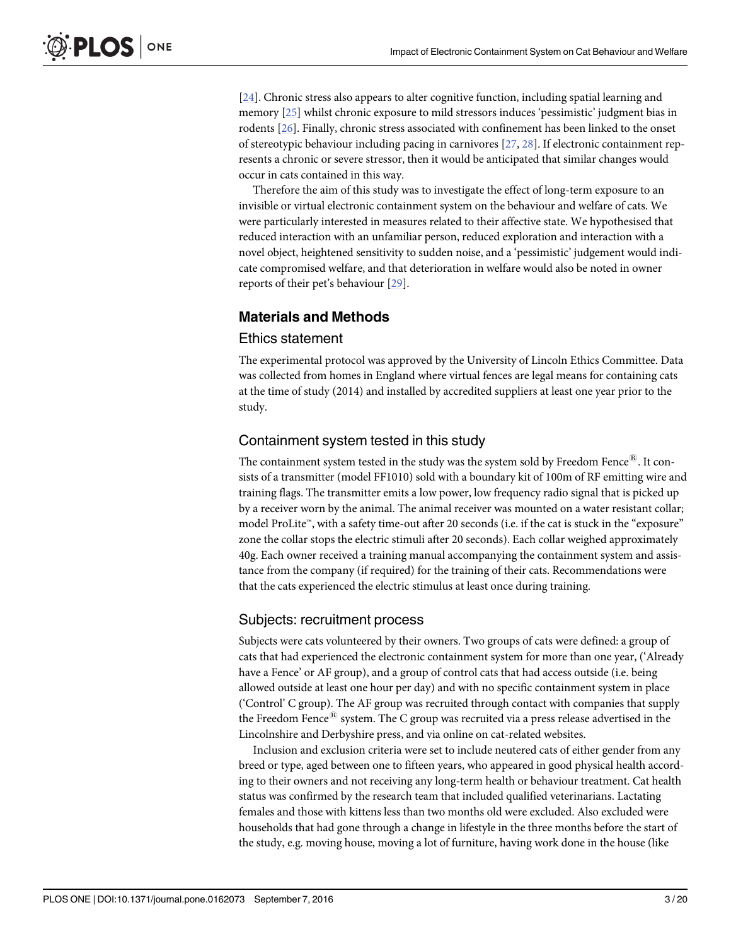<span id="page-2-0"></span>[\[24](#page-17-0)]. Chronic stress also appears to alter cognitive function, including spatial learning and memory [\[25\]](#page-17-0) whilst chronic exposure to mild stressors induces 'pessimistic' judgment bias in rodents [[26](#page-17-0)]. Finally, chronic stress associated with confinement has been linked to the onset of stereotypic behaviour including pacing in carnivores [\[27](#page-17-0), [28\]](#page-17-0). If electronic containment represents a chronic or severe stressor, then it would be anticipated that similar changes would occur in cats contained in this way.

Therefore the aim of this study was to investigate the effect of long-term exposure to an invisible or virtual electronic containment system on the behaviour and welfare of cats. We were particularly interested in measures related to their affective state. We hypothesised that reduced interaction with an unfamiliar person, reduced exploration and interaction with a novel object, heightened sensitivity to sudden noise, and a 'pessimistic' judgement would indicate compromised welfare, and that deterioration in welfare would also be noted in owner reports of their pet's behaviour [[29](#page-17-0)].

## Materials and Methods

#### Ethics statement

The experimental protocol was approved by the University of Lincoln Ethics Committee. Data was collected from homes in England where virtual fences are legal means for containing cats at the time of study (2014) and installed by accredited suppliers at least one year prior to the study.

#### Containment system tested in this study

The containment system tested in the study was the system sold by Freedom Fence<sup>®</sup>. It consists of a transmitter (model FF1010) sold with a boundary kit of 100m of RF emitting wire and training flags. The transmitter emits a low power, low frequency radio signal that is picked up by a receiver worn by the animal. The animal receiver was mounted on a water resistant collar; model ProLite™, with a safety time-out after 20 seconds (i.e. if the cat is stuck in the "exposure" zone the collar stops the electric stimuli after 20 seconds). Each collar weighed approximately 40g. Each owner received a training manual accompanying the containment system and assistance from the company (if required) for the training of their cats. Recommendations were that the cats experienced the electric stimulus at least once during training.

#### Subjects: recruitment process

Subjects were cats volunteered by their owners. Two groups of cats were defined: a group of cats that had experienced the electronic containment system for more than one year, ('Already have a Fence' or AF group), and a group of control cats that had access outside (i.e. being allowed outside at least one hour per day) and with no specific containment system in place ('Control' C group). The AF group was recruited through contact with companies that supply the Freedom Fence<sup> $E$ </sup> system. The C group was recruited via a press release advertised in the Lincolnshire and Derbyshire press, and via online on cat-related websites.

Inclusion and exclusion criteria were set to include neutered cats of either gender from any breed or type, aged between one to fifteen years, who appeared in good physical health according to their owners and not receiving any long-term health or behaviour treatment. Cat health status was confirmed by the research team that included qualified veterinarians. Lactating females and those with kittens less than two months old were excluded. Also excluded were households that had gone through a change in lifestyle in the three months before the start of the study, e.g. moving house, moving a lot of furniture, having work done in the house (like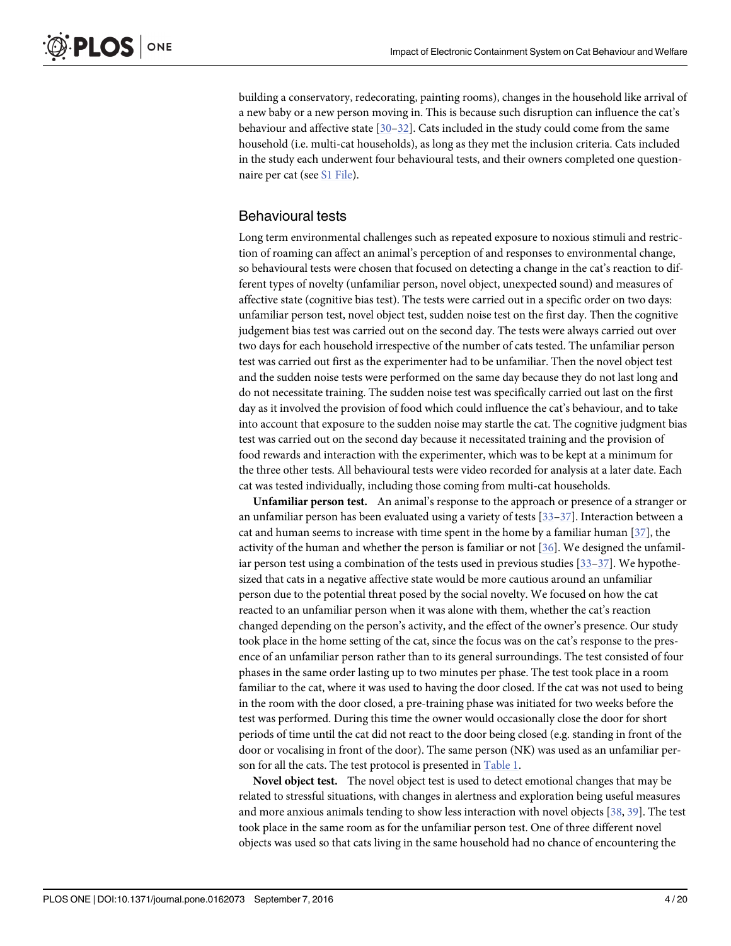<span id="page-3-0"></span>building a conservatory, redecorating, painting rooms), changes in the household like arrival of a new baby or a new person moving in. This is because such disruption can influence the cat's behaviour and affective state  $[30-32]$  $[30-32]$  $[30-32]$ . Cats included in the study could come from the same household (i.e. multi-cat households), as long as they met the inclusion criteria. Cats included in the study each underwent four behavioural tests, and their owners completed one questionnaire per cat (see [S1 File](#page-15-0)).

## Behavioural tests

Long term environmental challenges such as repeated exposure to noxious stimuli and restriction of roaming can affect an animal's perception of and responses to environmental change, so behavioural tests were chosen that focused on detecting a change in the cat's reaction to different types of novelty (unfamiliar person, novel object, unexpected sound) and measures of affective state (cognitive bias test). The tests were carried out in a specific order on two days: unfamiliar person test, novel object test, sudden noise test on the first day. Then the cognitive judgement bias test was carried out on the second day. The tests were always carried out over two days for each household irrespective of the number of cats tested. The unfamiliar person test was carried out first as the experimenter had to be unfamiliar. Then the novel object test and the sudden noise tests were performed on the same day because they do not last long and do not necessitate training. The sudden noise test was specifically carried out last on the first day as it involved the provision of food which could influence the cat's behaviour, and to take into account that exposure to the sudden noise may startle the cat. The cognitive judgment bias test was carried out on the second day because it necessitated training and the provision of food rewards and interaction with the experimenter, which was to be kept at a minimum for the three other tests. All behavioural tests were video recorded for analysis at a later date. Each cat was tested individually, including those coming from multi-cat households.

Unfamiliar person test. An animal's response to the approach or presence of a stranger or an unfamiliar person has been evaluated using a variety of tests  $\left[33-37\right]$  $\left[33-37\right]$  $\left[33-37\right]$ . Interaction between a cat and human seems to increase with time spent in the home by a familiar human [[37](#page-17-0)], the activity of the human and whether the person is familiar or not [\[36\]](#page-17-0). We designed the unfamiliar person test using a combination of the tests used in previous studies  $[33-37]$  $[33-37]$  $[33-37]$  $[33-37]$ . We hypothesized that cats in a negative affective state would be more cautious around an unfamiliar person due to the potential threat posed by the social novelty. We focused on how the cat reacted to an unfamiliar person when it was alone with them, whether the cat's reaction changed depending on the person's activity, and the effect of the owner's presence. Our study took place in the home setting of the cat, since the focus was on the cat's response to the presence of an unfamiliar person rather than to its general surroundings. The test consisted of four phases in the same order lasting up to two minutes per phase. The test took place in a room familiar to the cat, where it was used to having the door closed. If the cat was not used to being in the room with the door closed, a pre-training phase was initiated for two weeks before the test was performed. During this time the owner would occasionally close the door for short periods of time until the cat did not react to the door being closed (e.g. standing in front of the door or vocalising in front of the door). The same person (NK) was used as an unfamiliar person for all the cats. The test protocol is presented in [Table 1](#page-4-0).

Novel object test. The novel object test is used to detect emotional changes that may be related to stressful situations, with changes in alertness and exploration being useful measures and more anxious animals tending to show less interaction with novel objects [\[38](#page-17-0), [39](#page-17-0)]. The test took place in the same room as for the unfamiliar person test. One of three different novel objects was used so that cats living in the same household had no chance of encountering the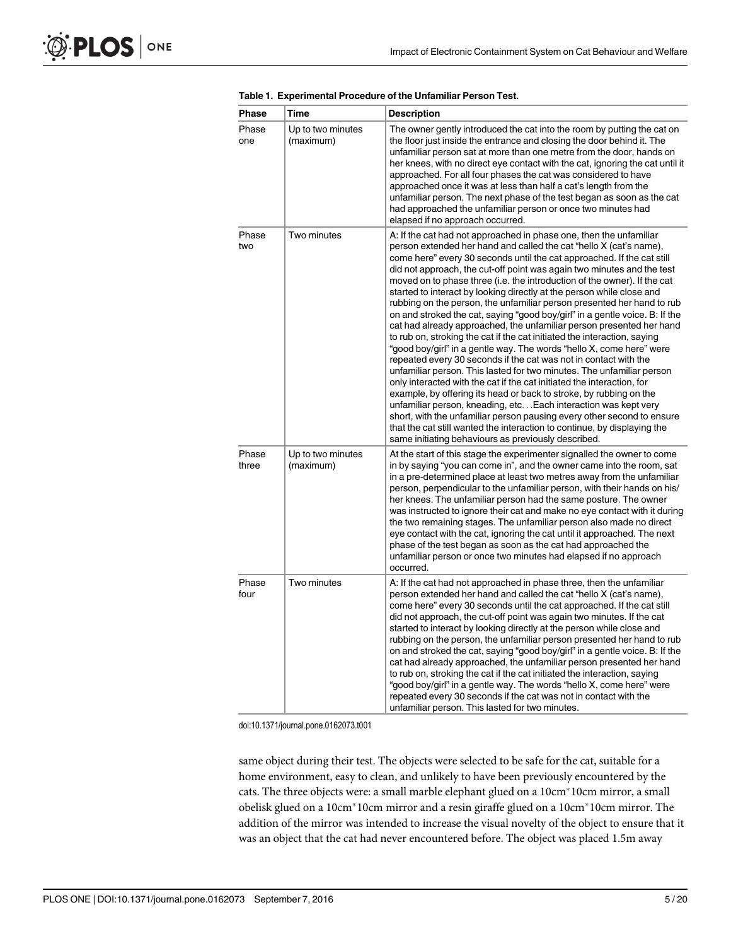| Phase          | Time                           | <b>Description</b>                                                                                                                                                                                                                                                                                                                                                                                                                                                                                                                                                                                                                                                                                                                                                                                                                                                                                                                                                                                                                                                                                                                                                                                                                                                                                                                                                                                                  |
|----------------|--------------------------------|---------------------------------------------------------------------------------------------------------------------------------------------------------------------------------------------------------------------------------------------------------------------------------------------------------------------------------------------------------------------------------------------------------------------------------------------------------------------------------------------------------------------------------------------------------------------------------------------------------------------------------------------------------------------------------------------------------------------------------------------------------------------------------------------------------------------------------------------------------------------------------------------------------------------------------------------------------------------------------------------------------------------------------------------------------------------------------------------------------------------------------------------------------------------------------------------------------------------------------------------------------------------------------------------------------------------------------------------------------------------------------------------------------------------|
| Phase<br>one   | Up to two minutes<br>(maximum) | The owner gently introduced the cat into the room by putting the cat on<br>the floor just inside the entrance and closing the door behind it. The<br>unfamiliar person sat at more than one metre from the door, hands on<br>her knees, with no direct eye contact with the cat, ignoring the cat until it<br>approached. For all four phases the cat was considered to have<br>approached once it was at less than half a cat's length from the<br>unfamiliar person. The next phase of the test began as soon as the cat<br>had approached the unfamiliar person or once two minutes had<br>elapsed if no approach occurred.                                                                                                                                                                                                                                                                                                                                                                                                                                                                                                                                                                                                                                                                                                                                                                                      |
| Phase<br>two   | Two minutes                    | A: If the cat had not approached in phase one, then the unfamiliar<br>person extended her hand and called the cat "hello X (cat's name),<br>come here" every 30 seconds until the cat approached. If the cat still<br>did not approach, the cut-off point was again two minutes and the test<br>moved on to phase three (i.e. the introduction of the owner). If the cat<br>started to interact by looking directly at the person while close and<br>rubbing on the person, the unfamiliar person presented her hand to rub<br>on and stroked the cat, saying "good boy/girl" in a gentle voice. B: If the<br>cat had already approached, the unfamiliar person presented her hand<br>to rub on, stroking the cat if the cat initiated the interaction, saying<br>"good boy/girl" in a gentle way. The words "hello X, come here" were<br>repeated every 30 seconds if the cat was not in contact with the<br>unfamiliar person. This lasted for two minutes. The unfamiliar person<br>only interacted with the cat if the cat initiated the interaction, for<br>example, by offering its head or back to stroke, by rubbing on the<br>unfamiliar person, kneading, etc Each interaction was kept very<br>short, with the unfamiliar person pausing every other second to ensure<br>that the cat still wanted the interaction to continue, by displaying the<br>same initiating behaviours as previously described. |
| Phase<br>three | Up to two minutes<br>(maximum) | At the start of this stage the experimenter signalled the owner to come<br>in by saying "you can come in", and the owner came into the room, sat<br>in a pre-determined place at least two metres away from the unfamiliar<br>person, perpendicular to the unfamiliar person, with their hands on his/<br>her knees. The unfamiliar person had the same posture. The owner<br>was instructed to ignore their cat and make no eye contact with it during<br>the two remaining stages. The unfamiliar person also made no direct<br>eye contact with the cat, ignoring the cat until it approached. The next<br>phase of the test began as soon as the cat had approached the<br>unfamiliar person or once two minutes had elapsed if no approach<br>occurred.                                                                                                                                                                                                                                                                                                                                                                                                                                                                                                                                                                                                                                                        |
| Phase<br>four  | Two minutes                    | A: If the cat had not approached in phase three, then the unfamiliar<br>person extended her hand and called the cat "hello X (cat's name),<br>come here" every 30 seconds until the cat approached. If the cat still<br>did not approach, the cut-off point was again two minutes. If the cat<br>started to interact by looking directly at the person while close and<br>rubbing on the person, the unfamiliar person presented her hand to rub<br>on and stroked the cat, saying "good boy/girl" in a gentle voice. B: If the<br>cat had already approached, the unfamiliar person presented her hand<br>to rub on, stroking the cat if the cat initiated the interaction, saying<br>"good boy/girl" in a gentle way. The words "hello X, come here" were<br>repeated every 30 seconds if the cat was not in contact with the<br>unfamiliar person. This lasted for two minutes.                                                                                                                                                                                                                                                                                                                                                                                                                                                                                                                                  |

<span id="page-4-0"></span>[Table 1.](#page-3-0) Experimental Procedure of the Unfamiliar Person Test.

same object during their test. The objects were selected to be safe for the cat, suitable for a home environment, easy to clean, and unlikely to have been previously encountered by the cats. The three objects were: a small marble elephant glued on a 10cm<sup>\*</sup>10cm mirror, a small obelisk glued on a 10cm<sup>\*</sup>10cm mirror and a resin giraffe glued on a 10cm<sup>\*</sup>10cm mirror. The addition of the mirror was intended to increase the visual novelty of the object to ensure that it was an object that the cat had never encountered before. The object was placed 1.5m away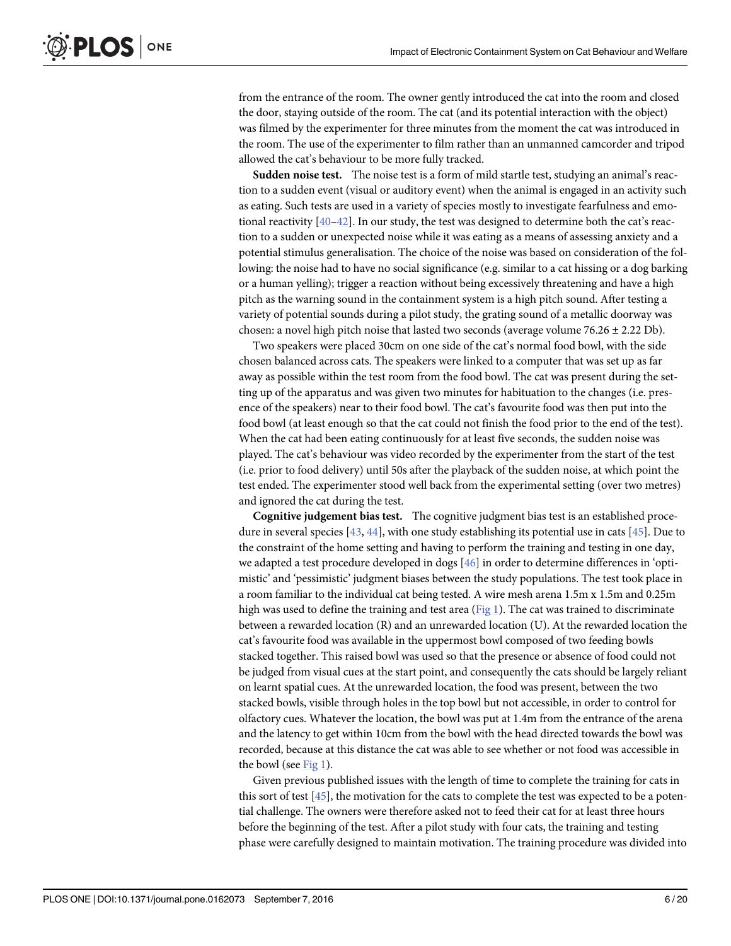<span id="page-5-0"></span>from the entrance of the room. The owner gently introduced the cat into the room and closed the door, staying outside of the room. The cat (and its potential interaction with the object) was filmed by the experimenter for three minutes from the moment the cat was introduced in the room. The use of the experimenter to film rather than an unmanned camcorder and tripod allowed the cat's behaviour to be more fully tracked.

Sudden noise test. The noise test is a form of mild startle test, studying an animal's reaction to a sudden event (visual or auditory event) when the animal is engaged in an activity such as eating. Such tests are used in a variety of species mostly to investigate fearfulness and emotional reactivity  $[40-42]$  $[40-42]$  $[40-42]$  $[40-42]$ . In our study, the test was designed to determine both the cat's reaction to a sudden or unexpected noise while it was eating as a means of assessing anxiety and a potential stimulus generalisation. The choice of the noise was based on consideration of the following: the noise had to have no social significance (e.g. similar to a cat hissing or a dog barking or a human yelling); trigger a reaction without being excessively threatening and have a high pitch as the warning sound in the containment system is a high pitch sound. After testing a variety of potential sounds during a pilot study, the grating sound of a metallic doorway was chosen: a novel high pitch noise that lasted two seconds (average volume 76.26  $\pm$  2.22 Db).

Two speakers were placed 30cm on one side of the cat's normal food bowl, with the side chosen balanced across cats. The speakers were linked to a computer that was set up as far away as possible within the test room from the food bowl. The cat was present during the setting up of the apparatus and was given two minutes for habituation to the changes (i.e. presence of the speakers) near to their food bowl. The cat's favourite food was then put into the food bowl (at least enough so that the cat could not finish the food prior to the end of the test). When the cat had been eating continuously for at least five seconds, the sudden noise was played. The cat's behaviour was video recorded by the experimenter from the start of the test (i.e. prior to food delivery) until 50s after the playback of the sudden noise, at which point the test ended. The experimenter stood well back from the experimental setting (over two metres) and ignored the cat during the test.

Cognitive judgement bias test. The cognitive judgment bias test is an established procedure in several species  $[43, 44]$  $[43, 44]$  $[43, 44]$ , with one study establishing its potential use in cats  $[45]$  $[45]$  $[45]$ . Due to the constraint of the home setting and having to perform the training and testing in one day, we adapted a test procedure developed in dogs [[46\]](#page-18-0) in order to determine differences in 'optimistic' and 'pessimistic' judgment biases between the study populations. The test took place in a room familiar to the individual cat being tested. A wire mesh arena 1.5m x 1.5m and 0.25m high was used to define the training and test area ( $Fig 1$ ). The cat was trained to discriminate between a rewarded location (R) and an unrewarded location (U). At the rewarded location the cat's favourite food was available in the uppermost bowl composed of two feeding bowls stacked together. This raised bowl was used so that the presence or absence of food could not be judged from visual cues at the start point, and consequently the cats should be largely reliant on learnt spatial cues. At the unrewarded location, the food was present, between the two stacked bowls, visible through holes in the top bowl but not accessible, in order to control for olfactory cues. Whatever the location, the bowl was put at 1.4m from the entrance of the arena and the latency to get within 10cm from the bowl with the head directed towards the bowl was recorded, because at this distance the cat was able to see whether or not food was accessible in the bowl (see [Fig 1](#page-6-0)).

Given previous published issues with the length of time to complete the training for cats in this sort of test [[45](#page-18-0)], the motivation for the cats to complete the test was expected to be a potential challenge. The owners were therefore asked not to feed their cat for at least three hours before the beginning of the test. After a pilot study with four cats, the training and testing phase were carefully designed to maintain motivation. The training procedure was divided into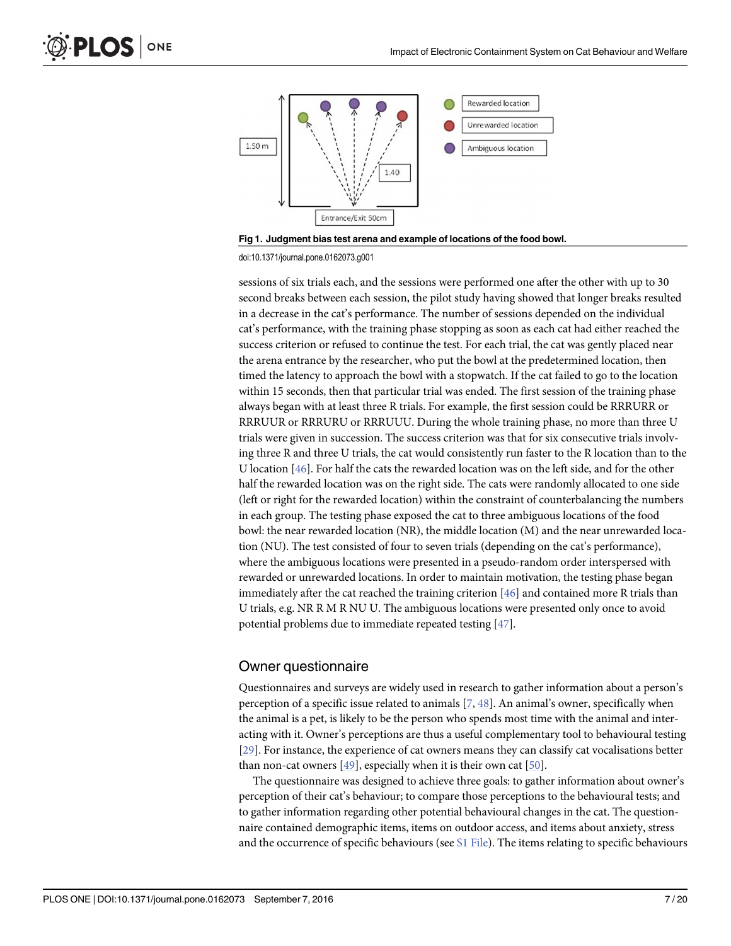<span id="page-6-0"></span>

[Fig 1. J](#page-5-0)udgment bias test arena and example of locations of the food bowl.

sessions of six trials each, and the sessions were performed one after the other with up to 30 second breaks between each session, the pilot study having showed that longer breaks resulted in a decrease in the cat's performance. The number of sessions depended on the individual cat's performance, with the training phase stopping as soon as each cat had either reached the success criterion or refused to continue the test. For each trial, the cat was gently placed near the arena entrance by the researcher, who put the bowl at the predetermined location, then timed the latency to approach the bowl with a stopwatch. If the cat failed to go to the location within 15 seconds, then that particular trial was ended. The first session of the training phase always began with at least three R trials. For example, the first session could be RRRURR or RRRUUR or RRRURU or RRRUUU. During the whole training phase, no more than three U trials were given in succession. The success criterion was that for six consecutive trials involving three R and three U trials, the cat would consistently run faster to the R location than to the U location  $[46]$ . For half the cats the rewarded location was on the left side, and for the other half the rewarded location was on the right side. The cats were randomly allocated to one side (left or right for the rewarded location) within the constraint of counterbalancing the numbers in each group. The testing phase exposed the cat to three ambiguous locations of the food bowl: the near rewarded location (NR), the middle location (M) and the near unrewarded location (NU). The test consisted of four to seven trials (depending on the cat's performance), where the ambiguous locations were presented in a pseudo-random order interspersed with rewarded or unrewarded locations. In order to maintain motivation, the testing phase began immediately after the cat reached the training criterion [\[46\]](#page-18-0) and contained more R trials than U trials, e.g. NR R M R NU U. The ambiguous locations were presented only once to avoid potential problems due to immediate repeated testing [\[47\]](#page-18-0).

#### Owner questionnaire

Questionnaires and surveys are widely used in research to gather information about a person's perception of a specific issue related to animals  $[7, 48]$  $[7, 48]$  $[7, 48]$  $[7, 48]$ . An animal's owner, specifically when the animal is a pet, is likely to be the person who spends most time with the animal and interacting with it. Owner's perceptions are thus a useful complementary tool to behavioural testing [\[29](#page-17-0)]. For instance, the experience of cat owners means they can classify cat vocalisations better than non-cat owners  $[49]$  $[49]$  $[49]$ , especially when it is their own cat  $[50]$ .

The questionnaire was designed to achieve three goals: to gather information about owner's perception of their cat's behaviour; to compare those perceptions to the behavioural tests; and to gather information regarding other potential behavioural changes in the cat. The questionnaire contained demographic items, items on outdoor access, and items about anxiety, stress and the occurrence of specific behaviours (see  $S1$  File). The items relating to specific behaviours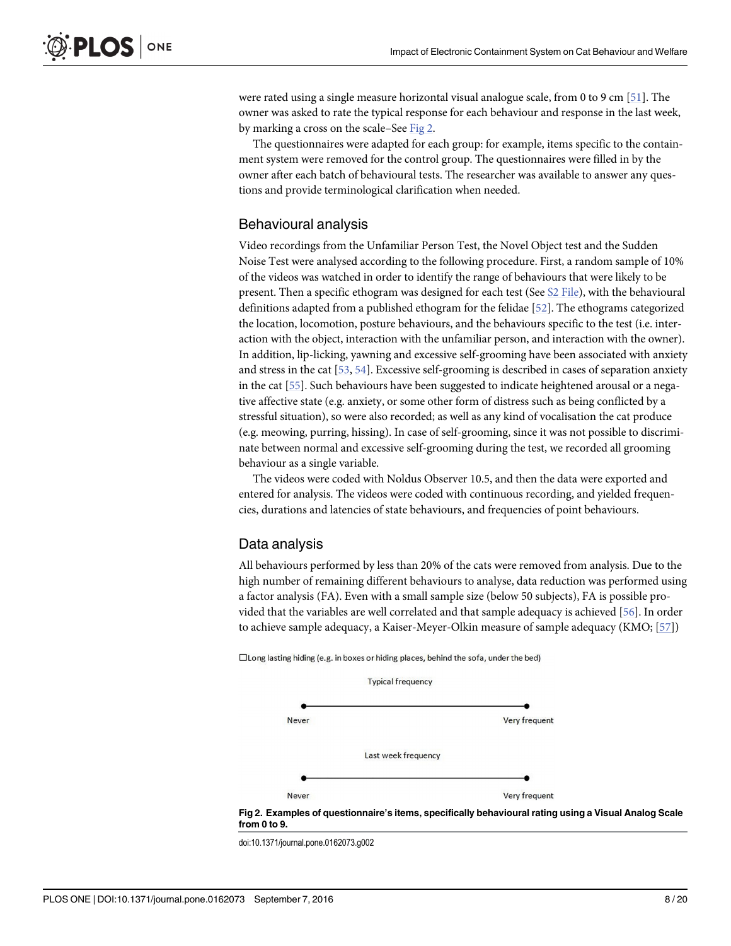<span id="page-7-0"></span>were rated using a single measure horizontal visual analogue scale, from 0 to 9 cm [\[51\]](#page-18-0). The owner was asked to rate the typical response for each behaviour and response in the last week, by marking a cross on the scale–See Fig 2.

The questionnaires were adapted for each group: for example, items specific to the containment system were removed for the control group. The questionnaires were filled in by the owner after each batch of behavioural tests. The researcher was available to answer any questions and provide terminological clarification when needed.

#### Behavioural analysis

Video recordings from the Unfamiliar Person Test, the Novel Object test and the Sudden Noise Test were analysed according to the following procedure. First, a random sample of 10% of the videos was watched in order to identify the range of behaviours that were likely to be present. Then a specific ethogram was designed for each test (See [S2 File\)](#page-15-0), with the behavioural definitions adapted from a published ethogram for the felidae [[52](#page-18-0)]. The ethograms categorized the location, locomotion, posture behaviours, and the behaviours specific to the test (i.e. interaction with the object, interaction with the unfamiliar person, and interaction with the owner). In addition, lip-licking, yawning and excessive self-grooming have been associated with anxiety and stress in the cat [\[53,](#page-18-0) [54\]](#page-18-0). Excessive self-grooming is described in cases of separation anxiety in the cat [\[55\]](#page-18-0). Such behaviours have been suggested to indicate heightened arousal or a negative affective state (e.g. anxiety, or some other form of distress such as being conflicted by a stressful situation), so were also recorded; as well as any kind of vocalisation the cat produce (e.g. meowing, purring, hissing). In case of self-grooming, since it was not possible to discriminate between normal and excessive self-grooming during the test, we recorded all grooming behaviour as a single variable.

The videos were coded with Noldus Observer 10.5, and then the data were exported and entered for analysis. The videos were coded with continuous recording, and yielded frequencies, durations and latencies of state behaviours, and frequencies of point behaviours.

## Data analysis

All behaviours performed by less than 20% of the cats were removed from analysis. Due to the high number of remaining different behaviours to analyse, data reduction was performed using a factor analysis (FA). Even with a small sample size (below 50 subjects), FA is possible provided that the variables are well correlated and that sample adequacy is achieved [\[56\]](#page-18-0). In order to achieve sample adequacy, a Kaiser-Meyer-Olkin measure of sample adequacy (KMO; [[57](#page-18-0)])

□ Long lasting hiding (e.g. in boxes or hiding places, behind the sofa, under the bed)



doi:10.1371/journal.pone.0162073.g002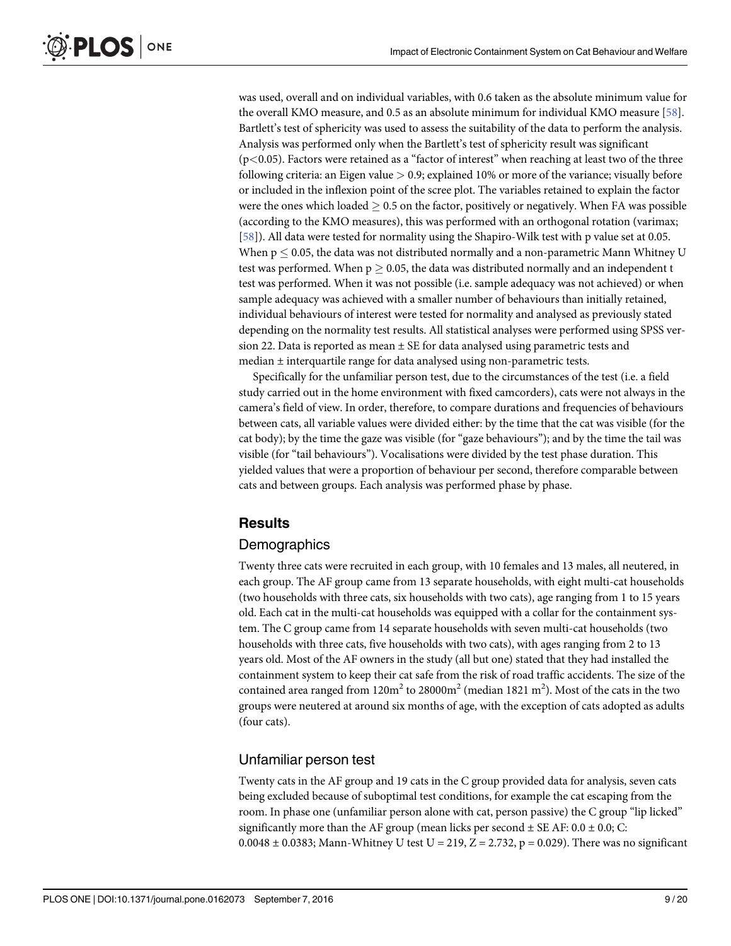<span id="page-8-0"></span>was used, overall and on individual variables, with 0.6 taken as the absolute minimum value for the overall KMO measure, and 0.5 as an absolute minimum for individual KMO measure [\[58\]](#page-18-0). Bartlett's test of sphericity was used to assess the suitability of the data to perform the analysis. Analysis was performed only when the Bartlett's test of sphericity result was significant  $(p<0.05)$ . Factors were retained as a "factor of interest" when reaching at least two of the three following criteria: an Eigen value  $> 0.9$ ; explained 10% or more of the variance; visually before or included in the inflexion point of the scree plot. The variables retained to explain the factor were the ones which loaded  $\geq 0.5$  on the factor, positively or negatively. When FA was possible (according to the KMO measures), this was performed with an orthogonal rotation (varimax; [\[58](#page-18-0)]). All data were tested for normality using the Shapiro-Wilk test with p value set at 0.05. When  $p < 0.05$ , the data was not distributed normally and a non-parametric Mann Whitney U test was performed. When  $p \ge 0.05$ , the data was distributed normally and an independent t test was performed. When it was not possible (i.e. sample adequacy was not achieved) or when sample adequacy was achieved with a smaller number of behaviours than initially retained, individual behaviours of interest were tested for normality and analysed as previously stated depending on the normality test results. All statistical analyses were performed using SPSS version 22. Data is reported as mean  $\pm$  SE for data analysed using parametric tests and median ± interquartile range for data analysed using non-parametric tests.

Specifically for the unfamiliar person test, due to the circumstances of the test (i.e. a field study carried out in the home environment with fixed camcorders), cats were not always in the camera's field of view. In order, therefore, to compare durations and frequencies of behaviours between cats, all variable values were divided either: by the time that the cat was visible (for the cat body); by the time the gaze was visible (for "gaze behaviours"); and by the time the tail was visible (for "tail behaviours"). Vocalisations were divided by the test phase duration. This yielded values that were a proportion of behaviour per second, therefore comparable between cats and between groups. Each analysis was performed phase by phase.

## Results

#### **Demographics**

Twenty three cats were recruited in each group, with 10 females and 13 males, all neutered, in each group. The AF group came from 13 separate households, with eight multi-cat households (two households with three cats, six households with two cats), age ranging from 1 to 15 years old. Each cat in the multi-cat households was equipped with a collar for the containment system. The C group came from 14 separate households with seven multi-cat households (two households with three cats, five households with two cats), with ages ranging from 2 to 13 years old. Most of the AF owners in the study (all but one) stated that they had installed the containment system to keep their cat safe from the risk of road traffic accidents. The size of the contained area ranged from  $120\text{m}^2$  to  $28000\text{m}^2$  (median  $1821$   $\text{m}^2$ ). Most of the cats in the two groups were neutered at around six months of age, with the exception of cats adopted as adults (four cats).

## Unfamiliar person test

Twenty cats in the AF group and 19 cats in the C group provided data for analysis, seven cats being excluded because of suboptimal test conditions, for example the cat escaping from the room. In phase one (unfamiliar person alone with cat, person passive) the C group "lip licked" significantly more than the AF group (mean licks per second  $\pm$  SE AF: 0.0  $\pm$  0.0; C: 0.0048  $\pm$  0.0383; Mann-Whitney U test U = 219, Z = 2.732, p = 0.029). There was no significant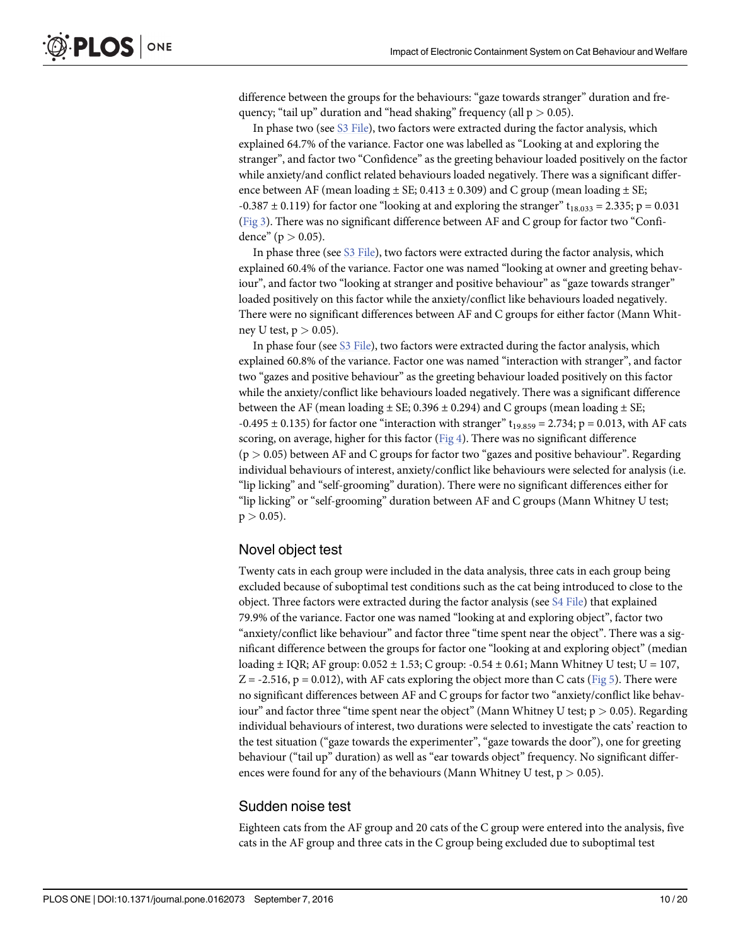<span id="page-9-0"></span>difference between the groups for the behaviours: "gaze towards stranger" duration and frequency; "tail up" duration and "head shaking" frequency (all  $p > 0.05$ ).

In phase two (see [S3 File\)](#page-15-0), two factors were extracted during the factor analysis, which explained 64.7% of the variance. Factor one was labelled as "Looking at and exploring the stranger", and factor two "Confidence" as the greeting behaviour loaded positively on the factor while anxiety/and conflict related behaviours loaded negatively. There was a significant difference between AF (mean loading  $\pm$  SE; 0.413  $\pm$  0.309) and C group (mean loading  $\pm$  SE;  $-0.387 \pm 0.119$ ) for factor one "looking at and exploring the stranger" t<sub>18.033</sub> = 2.335; p = 0.031 [\(Fig 3\)](#page-10-0). There was no significant difference between AF and C group for factor two "Confidence" ( $p > 0.05$ ).

In phase three (see S<sub>3</sub> File), two factors were extracted during the factor analysis, which explained 60.4% of the variance. Factor one was named "looking at owner and greeting behaviour", and factor two "looking at stranger and positive behaviour" as "gaze towards stranger" loaded positively on this factor while the anxiety/conflict like behaviours loaded negatively. There were no significant differences between AF and C groups for either factor (Mann Whitney U test,  $p > 0.05$ ).

In phase four (see  $S3$  File), two factors were extracted during the factor analysis, which explained 60.8% of the variance. Factor one was named "interaction with stranger", and factor two "gazes and positive behaviour" as the greeting behaviour loaded positively on this factor while the anxiety/conflict like behaviours loaded negatively. There was a significant difference between the AF (mean loading  $\pm$  SE; 0.396  $\pm$  0.294) and C groups (mean loading  $\pm$  SE;  $-0.495 \pm 0.135$ ) for factor one "interaction with stranger" t<sub>19.859</sub> = 2.734; p = 0.013, with AF cats scoring, on average, higher for this factor  $(Fig 4)$  $(Fig 4)$  $(Fig 4)$ . There was no significant difference  $(p > 0.05)$  between AF and C groups for factor two "gazes and positive behaviour". Regarding individual behaviours of interest, anxiety/conflict like behaviours were selected for analysis (i.e. "lip licking" and "self-grooming" duration). There were no significant differences either for "lip licking" or "self-grooming" duration between AF and C groups (Mann Whitney U test;  $p > 0.05$ ).

## Novel object test

Twenty cats in each group were included in the data analysis, three cats in each group being excluded because of suboptimal test conditions such as the cat being introduced to close to the object. Three factors were extracted during the factor analysis (see  $S4$  File) that explained 79.9% of the variance. Factor one was named "looking at and exploring object", factor two "anxiety/conflict like behaviour" and factor three "time spent near the object". There was a significant difference between the groups for factor one "looking at and exploring object" (median loading  $\pm$  IQR; AF group: 0.052  $\pm$  1.53; C group: -0.54  $\pm$  0.61; Mann Whitney U test; U = 107,  $Z = -2.516$ , p = 0.012), with AF cats exploring the object more than C cats ( $Fig 5$ ). There were no significant differences between AF and C groups for factor two "anxiety/conflict like behaviour" and factor three "time spent near the object" (Mann Whitney U test;  $p > 0.05$ ). Regarding individual behaviours of interest, two durations were selected to investigate the cats' reaction to the test situation ("gaze towards the experimenter", "gaze towards the door"), one for greeting behaviour ("tail up" duration) as well as "ear towards object" frequency. No significant differences were found for any of the behaviours (Mann Whitney U test,  $p > 0.05$ ).

#### Sudden noise test

Eighteen cats from the AF group and 20 cats of the C group were entered into the analysis, five cats in the AF group and three cats in the C group being excluded due to suboptimal test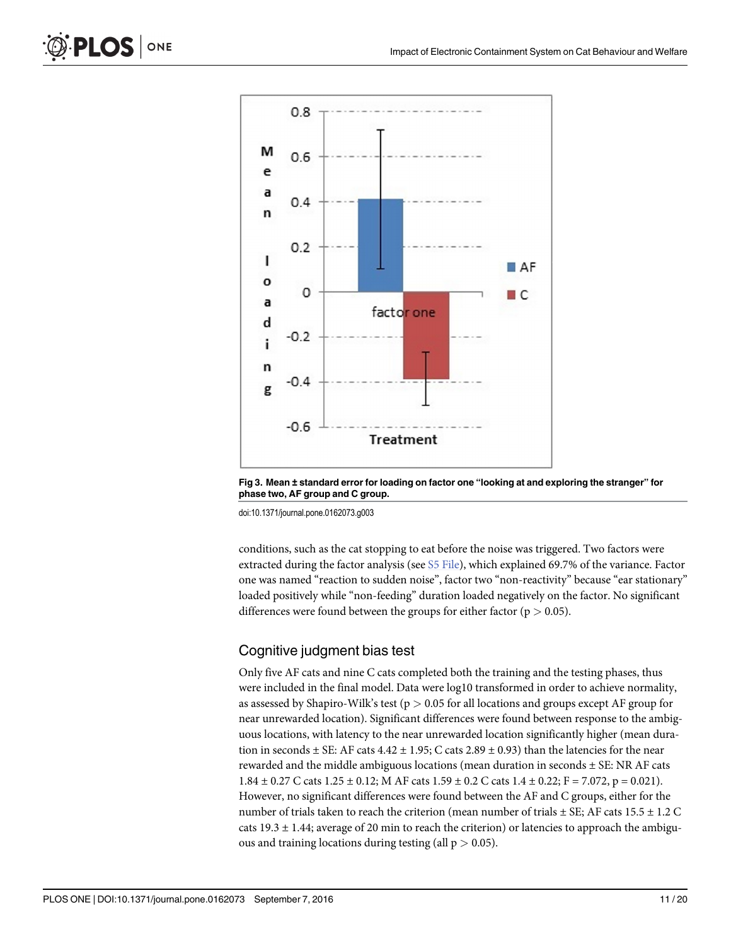

[Fig 3. M](#page-9-0)ean ± standard error for loading on factor one "looking at and exploring the stranger" for phase two, AF group and C group.

conditions, such as the cat stopping to eat before the noise was triggered. Two factors were extracted during the factor analysis (see [S5 File\)](#page-16-0), which explained 69.7% of the variance. Factor one was named "reaction to sudden noise", factor two "non-reactivity" because "ear stationary" loaded positively while "non-feeding" duration loaded negatively on the factor. No significant differences were found between the groups for either factor ( $p > 0.05$ ).

# Cognitive judgment bias test

Only five AF cats and nine C cats completed both the training and the testing phases, thus were included in the final model. Data were log10 transformed in order to achieve normality, as assessed by Shapiro-Wilk's test ( $p > 0.05$  for all locations and groups except AF group for near unrewarded location). Significant differences were found between response to the ambiguous locations, with latency to the near unrewarded location significantly higher (mean duration in seconds  $\pm$  SE: AF cats 4.42  $\pm$  1.95; C cats 2.89  $\pm$  0.93) than the latencies for the near rewarded and the middle ambiguous locations (mean duration in seconds  $\pm$  SE: NR AF cats 1.84  $\pm$  0.27 C cats 1.25  $\pm$  0.12; M AF cats 1.59  $\pm$  0.2 C cats 1.4  $\pm$  0.22; F = 7.072, p = 0.021). However, no significant differences were found between the AF and C groups, either for the number of trials taken to reach the criterion (mean number of trials  $\pm$  SE; AF cats 15.5  $\pm$  1.2 C cats  $19.3 \pm 1.44$ ; average of 20 min to reach the criterion) or latencies to approach the ambiguous and training locations during testing (all  $p > 0.05$ ).

ONE

<span id="page-10-0"></span>**PLOS I**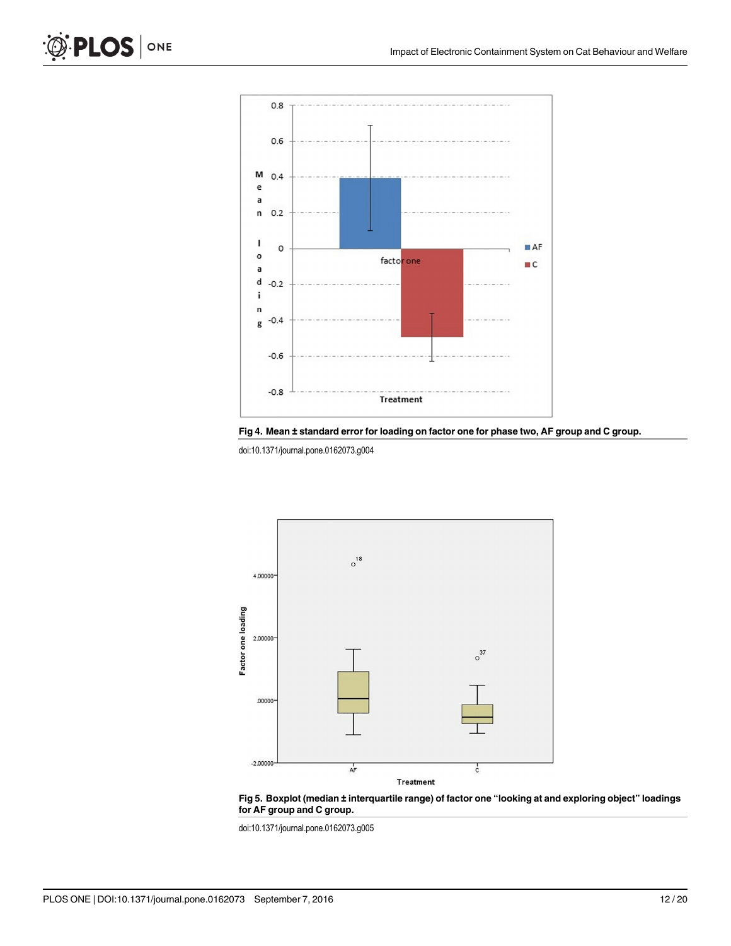<span id="page-11-0"></span>









doi:10.1371/journal.pone.0162073.g005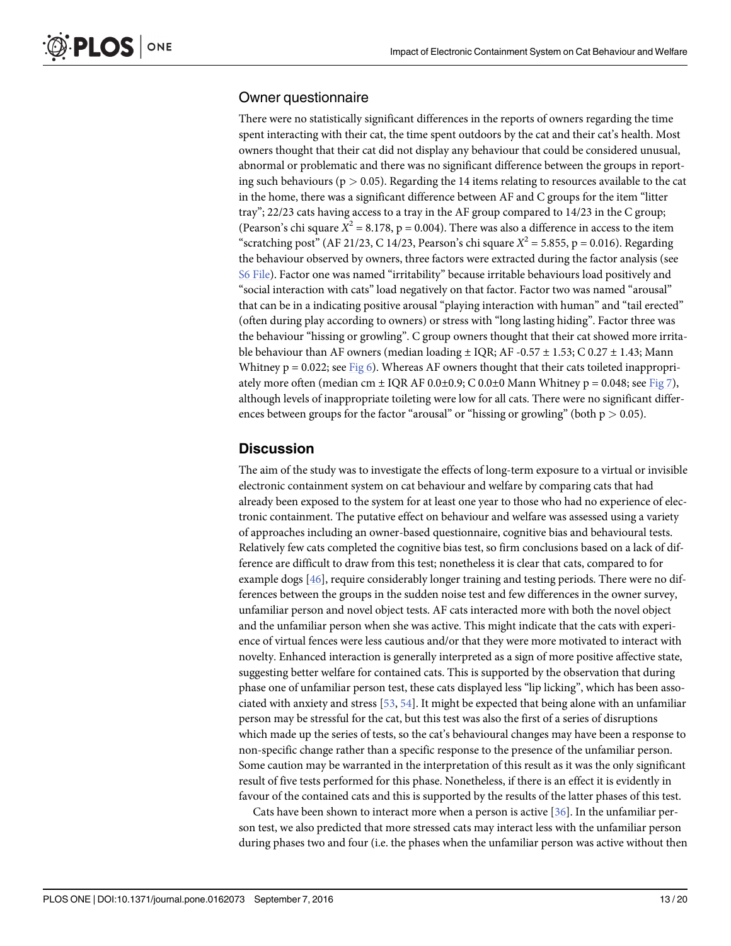# <span id="page-12-0"></span>Owner questionnaire

There were no statistically significant differences in the reports of owners regarding the time spent interacting with their cat, the time spent outdoors by the cat and their cat's health. Most owners thought that their cat did not display any behaviour that could be considered unusual, abnormal or problematic and there was no significant difference between the groups in reporting such behaviours ( $p > 0.05$ ). Regarding the 14 items relating to resources available to the cat in the home, there was a significant difference between AF and C groups for the item "litter tray"; 22/23 cats having access to a tray in the AF group compared to 14/23 in the C group; (Pearson's chi square  $X^2 = 8.178$ , p = 0.004). There was also a difference in access to the item "scratching post" (AF 21/23, C 14/23, Pearson's chi square  $X^2 = 5.855$ , p = 0.016). Regarding the behaviour observed by owners, three factors were extracted during the factor analysis (see [S6 File](#page-16-0)). Factor one was named "irritability" because irritable behaviours load positively and "social interaction with cats" load negatively on that factor. Factor two was named "arousal" that can be in a indicating positive arousal "playing interaction with human" and "tail erected" (often during play according to owners) or stress with "long lasting hiding". Factor three was the behaviour "hissing or growling". C group owners thought that their cat showed more irritable behaviour than AF owners (median loading  $\pm$  IQR; AF -0.57  $\pm$  1.53; C 0.27  $\pm$  1.43; Mann Whitney  $p = 0.022$ ; see [Fig 6\)](#page-13-0). Whereas AF owners thought that their cats toileted inappropriately more often (median cm  $\pm$  IQR AF 0.0 $\pm$ 0.9; C 0.0 $\pm$ 0 Mann Whitney p = 0.048; see [Fig 7](#page-13-0)), although levels of inappropriate toileting were low for all cats. There were no significant differences between groups for the factor "arousal" or "hissing or growling" (both  $p > 0.05$ ).

## **Discussion**

The aim of the study was to investigate the effects of long-term exposure to a virtual or invisible electronic containment system on cat behaviour and welfare by comparing cats that had already been exposed to the system for at least one year to those who had no experience of electronic containment. The putative effect on behaviour and welfare was assessed using a variety of approaches including an owner-based questionnaire, cognitive bias and behavioural tests. Relatively few cats completed the cognitive bias test, so firm conclusions based on a lack of difference are difficult to draw from this test; nonetheless it is clear that cats, compared to for example dogs [[46](#page-18-0)], require considerably longer training and testing periods. There were no differences between the groups in the sudden noise test and few differences in the owner survey, unfamiliar person and novel object tests. AF cats interacted more with both the novel object and the unfamiliar person when she was active. This might indicate that the cats with experience of virtual fences were less cautious and/or that they were more motivated to interact with novelty. Enhanced interaction is generally interpreted as a sign of more positive affective state, suggesting better welfare for contained cats. This is supported by the observation that during phase one of unfamiliar person test, these cats displayed less "lip licking", which has been associated with anxiety and stress [\[53](#page-18-0), [54\]](#page-18-0). It might be expected that being alone with an unfamiliar person may be stressful for the cat, but this test was also the first of a series of disruptions which made up the series of tests, so the cat's behavioural changes may have been a response to non-specific change rather than a specific response to the presence of the unfamiliar person. Some caution may be warranted in the interpretation of this result as it was the only significant result of five tests performed for this phase. Nonetheless, if there is an effect it is evidently in favour of the contained cats and this is supported by the results of the latter phases of this test.

Cats have been shown to interact more when a person is active  $[36]$  $[36]$  $[36]$ . In the unfamiliar person test, we also predicted that more stressed cats may interact less with the unfamiliar person during phases two and four (i.e. the phases when the unfamiliar person was active without then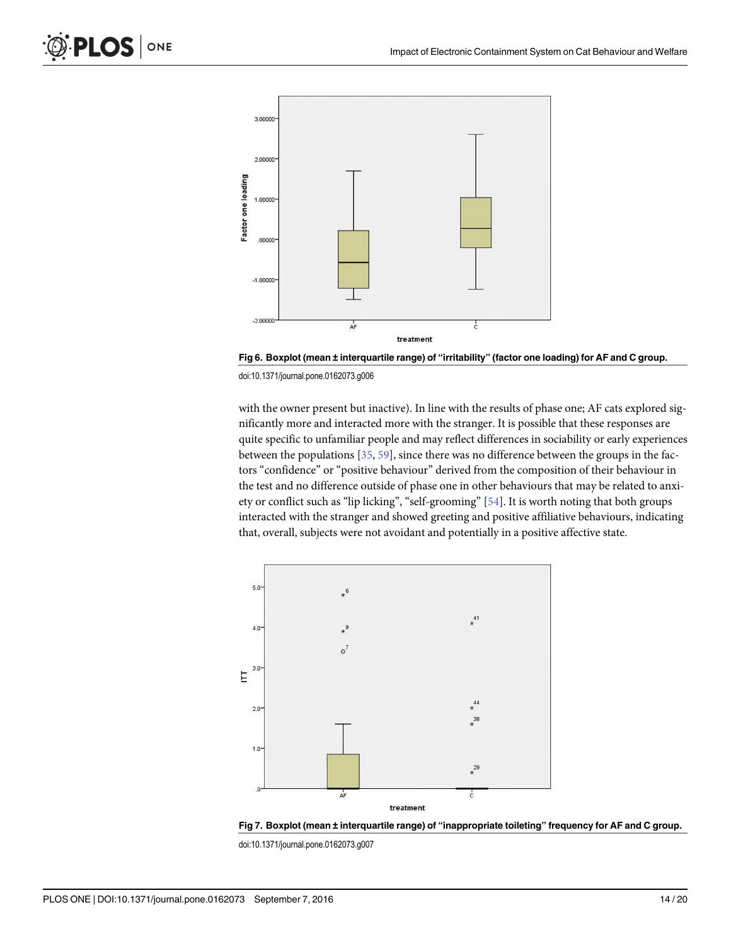<span id="page-13-0"></span>

[Fig 6. B](#page-12-0)oxplot (mean ± interquartile range) of "irritability" (factor one loading) for AF and C group.

with the owner present but inactive). In line with the results of phase one; AF cats explored significantly more and interacted more with the stranger. It is possible that these responses are quite specific to unfamiliar people and may reflect differences in sociability or early experiences between the populations [[35](#page-17-0), [59](#page-18-0)], since there was no difference between the groups in the factors "confidence" or "positive behaviour" derived from the composition of their behaviour in the test and no difference outside of phase one in other behaviours that may be related to anxiety or conflict such as "lip licking", "self-grooming" [[54](#page-18-0)]. It is worth noting that both groups interacted with the stranger and showed greeting and positive affiliative behaviours, indicating that, overall, subjects were not avoidant and potentially in a positive affective state.



[Fig 7. B](#page-12-0)oxplot (mean ± interquartile range) of "inappropriate toileting" frequency for AF and C group.

doi:10.1371/journal.pone.0162073.g007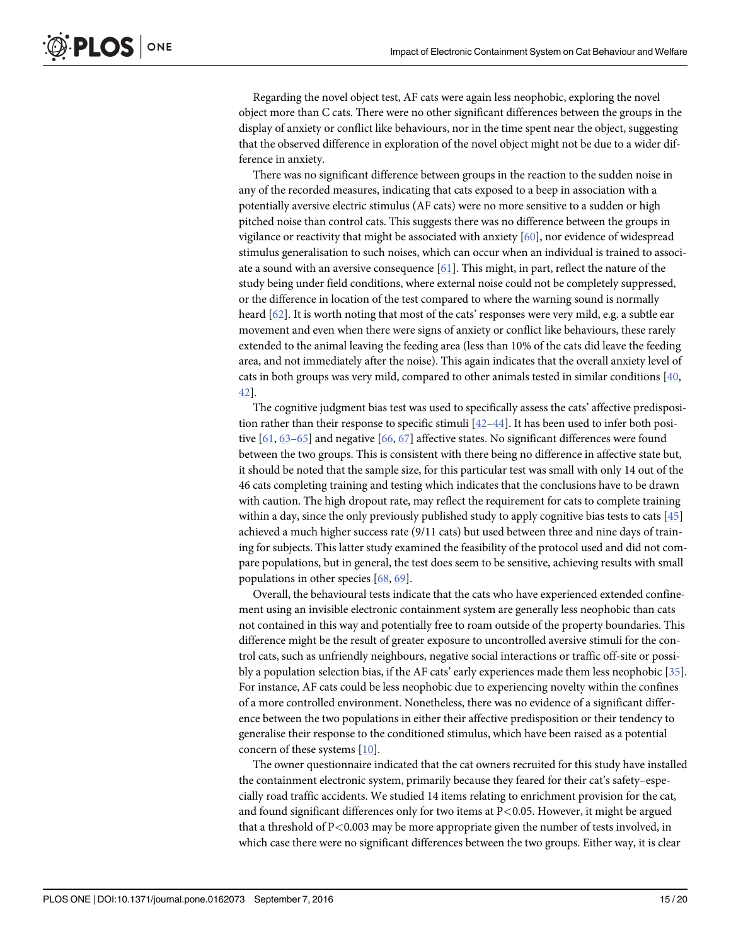<span id="page-14-0"></span>Regarding the novel object test, AF cats were again less neophobic, exploring the novel object more than C cats. There were no other significant differences between the groups in the display of anxiety or conflict like behaviours, nor in the time spent near the object, suggesting that the observed difference in exploration of the novel object might not be due to a wider difference in anxiety.

There was no significant difference between groups in the reaction to the sudden noise in any of the recorded measures, indicating that cats exposed to a beep in association with a potentially aversive electric stimulus (AF cats) were no more sensitive to a sudden or high pitched noise than control cats. This suggests there was no difference between the groups in vigilance or reactivity that might be associated with anxiety  $[60]$ , nor evidence of widespread stimulus generalisation to such noises, which can occur when an individual is trained to associate a sound with an aversive consequence  $[61]$ . This might, in part, reflect the nature of the study being under field conditions, where external noise could not be completely suppressed, or the difference in location of the test compared to where the warning sound is normally heard [\[62\]](#page-18-0). It is worth noting that most of the cats' responses were very mild, e.g. a subtle ear movement and even when there were signs of anxiety or conflict like behaviours, these rarely extended to the animal leaving the feeding area (less than 10% of the cats did leave the feeding area, and not immediately after the noise). This again indicates that the overall anxiety level of cats in both groups was very mild, compared to other animals tested in similar conditions  $[40, 60]$  $[40, 60]$  $[40, 60]$ [42\]](#page-18-0).

The cognitive judgment bias test was used to specifically assess the cats' affective predisposition rather than their response to specific stimuli  $[42-44]$  $[42-44]$  $[42-44]$ . It has been used to infer both positive [[61,](#page-18-0) [63](#page-18-0)–[65](#page-18-0)] and negative [[66](#page-18-0), [67](#page-18-0)] affective states. No significant differences were found between the two groups. This is consistent with there being no difference in affective state but, it should be noted that the sample size, for this particular test was small with only 14 out of the 46 cats completing training and testing which indicates that the conclusions have to be drawn with caution. The high dropout rate, may reflect the requirement for cats to complete training within a day, since the only previously published study to apply cognitive bias tests to cats [\[45](#page-18-0)] achieved a much higher success rate (9/11 cats) but used between three and nine days of training for subjects. This latter study examined the feasibility of the protocol used and did not compare populations, but in general, the test does seem to be sensitive, achieving results with small populations in other species [\[68,](#page-19-0) [69\]](#page-19-0).

Overall, the behavioural tests indicate that the cats who have experienced extended confinement using an invisible electronic containment system are generally less neophobic than cats not contained in this way and potentially free to roam outside of the property boundaries. This difference might be the result of greater exposure to uncontrolled aversive stimuli for the control cats, such as unfriendly neighbours, negative social interactions or traffic off-site or possibly a population selection bias, if the AF cats' early experiences made them less neophobic [\[35\]](#page-17-0). For instance, AF cats could be less neophobic due to experiencing novelty within the confines of a more controlled environment. Nonetheless, there was no evidence of a significant difference between the two populations in either their affective predisposition or their tendency to generalise their response to the conditioned stimulus, which have been raised as a potential concern of these systems [\[10\]](#page-16-0).

The owner questionnaire indicated that the cat owners recruited for this study have installed the containment electronic system, primarily because they feared for their cat's safety–especially road traffic accidents. We studied 14 items relating to enrichment provision for the cat, and found significant differences only for two items at  $P<0.05$ . However, it might be argued that a threshold of P<0.003 may be more appropriate given the number of tests involved, in which case there were no significant differences between the two groups. Either way, it is clear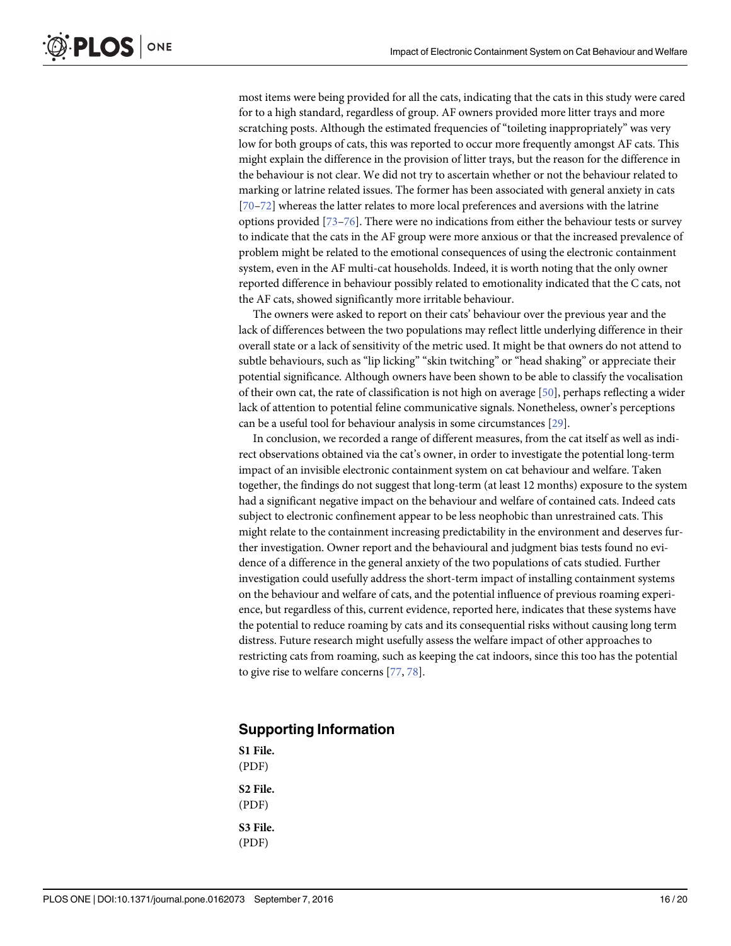<span id="page-15-0"></span>most items were being provided for all the cats, indicating that the cats in this study were cared for to a high standard, regardless of group. AF owners provided more litter trays and more scratching posts. Although the estimated frequencies of "toileting inappropriately" was very low for both groups of cats, this was reported to occur more frequently amongst AF cats. This might explain the difference in the provision of litter trays, but the reason for the difference in the behaviour is not clear. We did not try to ascertain whether or not the behaviour related to marking or latrine related issues. The former has been associated with general anxiety in cats [\[70](#page-19-0)–[72\]](#page-19-0) whereas the latter relates to more local preferences and aversions with the latrine options provided [\[73](#page-19-0)–[76\]](#page-19-0). There were no indications from either the behaviour tests or survey to indicate that the cats in the AF group were more anxious or that the increased prevalence of problem might be related to the emotional consequences of using the electronic containment system, even in the AF multi-cat households. Indeed, it is worth noting that the only owner reported difference in behaviour possibly related to emotionality indicated that the C cats, not the AF cats, showed significantly more irritable behaviour.

The owners were asked to report on their cats' behaviour over the previous year and the lack of differences between the two populations may reflect little underlying difference in their overall state or a lack of sensitivity of the metric used. It might be that owners do not attend to subtle behaviours, such as "lip licking" "skin twitching" or "head shaking" or appreciate their potential significance. Although owners have been shown to be able to classify the vocalisation of their own cat, the rate of classification is not high on average [\[50\]](#page-18-0), perhaps reflecting a wider lack of attention to potential feline communicative signals. Nonetheless, owner's perceptions can be a useful tool for behaviour analysis in some circumstances [\[29](#page-17-0)].

In conclusion, we recorded a range of different measures, from the cat itself as well as indirect observations obtained via the cat's owner, in order to investigate the potential long-term impact of an invisible electronic containment system on cat behaviour and welfare. Taken together, the findings do not suggest that long-term (at least 12 months) exposure to the system had a significant negative impact on the behaviour and welfare of contained cats. Indeed cats subject to electronic confinement appear to be less neophobic than unrestrained cats. This might relate to the containment increasing predictability in the environment and deserves further investigation. Owner report and the behavioural and judgment bias tests found no evidence of a difference in the general anxiety of the two populations of cats studied. Further investigation could usefully address the short-term impact of installing containment systems on the behaviour and welfare of cats, and the potential influence of previous roaming experience, but regardless of this, current evidence, reported here, indicates that these systems have the potential to reduce roaming by cats and its consequential risks without causing long term distress. Future research might usefully assess the welfare impact of other approaches to restricting cats from roaming, such as keeping the cat indoors, since this too has the potential to give rise to welfare concerns [[77,](#page-19-0) [78\]](#page-19-0).

# Supporting Information

[S1 File.](http://www.plosone.org/article/fetchSingleRepresentation.action?uri=info:doi/10.1371/journal.pone.0162073.s001) (PDF) [S2 File.](http://www.plosone.org/article/fetchSingleRepresentation.action?uri=info:doi/10.1371/journal.pone.0162073.s002) (PDF) [S3 File.](http://www.plosone.org/article/fetchSingleRepresentation.action?uri=info:doi/10.1371/journal.pone.0162073.s003) (PDF)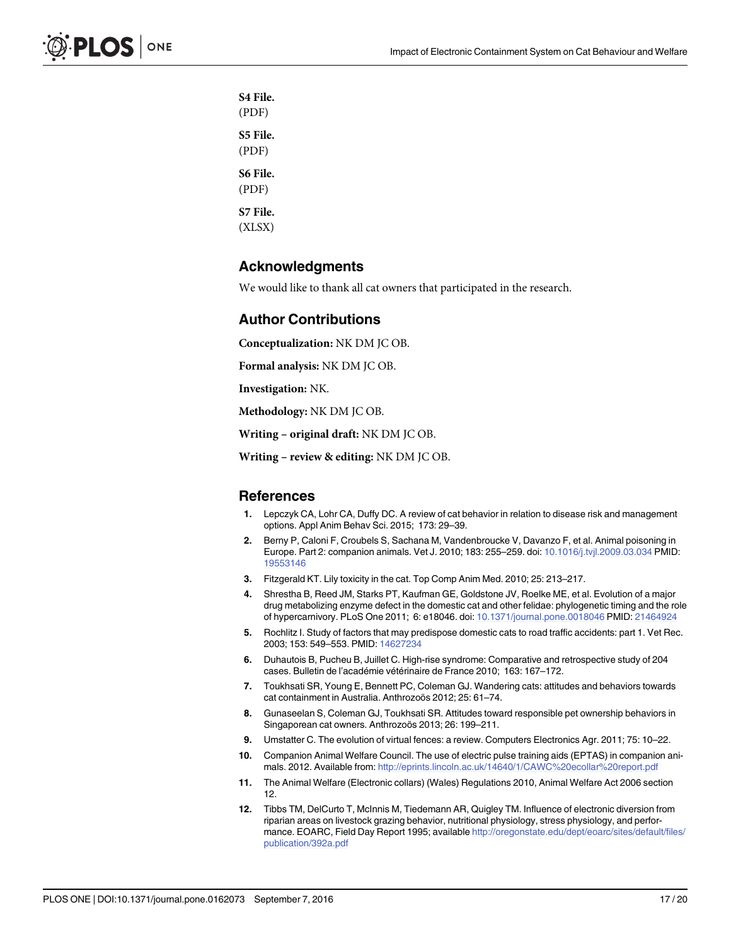<span id="page-16-0"></span>[S4 File.](http://www.plosone.org/article/fetchSingleRepresentation.action?uri=info:doi/10.1371/journal.pone.0162073.s004) (PDF) [S5 File.](http://www.plosone.org/article/fetchSingleRepresentation.action?uri=info:doi/10.1371/journal.pone.0162073.s005) (PDF) [S6 File.](http://www.plosone.org/article/fetchSingleRepresentation.action?uri=info:doi/10.1371/journal.pone.0162073.s006) (PDF) [S7 File.](http://www.plosone.org/article/fetchSingleRepresentation.action?uri=info:doi/10.1371/journal.pone.0162073.s007) (XLSX)

# Acknowledgments

We would like to thank all cat owners that participated in the research.

#### Author Contributions

Conceptualization: NK DM JC OB.

Formal analysis: NK DM JC OB.

Investigation: NK.

Methodology: NK DM JC OB.

Writing – original draft: NK DM JC OB.

Writing – review & editing: NK DM JC OB.

#### References

- [1.](#page-0-0) Lepczyk CA, Lohr CA, Duffy DC. A review of cat behavior in relation to disease risk and management options. Appl Anim Behav Sci. 2015; 173: 29–39.
- [2.](#page-0-0) Berny P, Caloni F, Croubels S, Sachana M, Vandenbroucke V, Davanzo F, et al. Animal poisoning in Europe. Part 2: companion animals. Vet J. 2010; 183: 255–259. doi: [10.1016/j.tvjl.2009.03.034](http://dx.doi.org/10.1016/j.tvjl.2009.03.034) PMID: [19553146](http://www.ncbi.nlm.nih.gov/pubmed/19553146)
- 3. Fitzgerald KT. Lily toxicity in the cat. Top Comp Anim Med. 2010; 25: 213–217.
- [4.](#page-0-0) Shrestha B, Reed JM, Starks PT, Kaufman GE, Goldstone JV, Roelke ME, et al. Evolution of a major drug metabolizing enzyme defect in the domestic cat and other felidae: phylogenetic timing and the role of hypercarnivory. PLoS One 2011; 6: e18046. doi: [10.1371/journal.pone.0018046](http://dx.doi.org/10.1371/journal.pone.0018046) PMID: [21464924](http://www.ncbi.nlm.nih.gov/pubmed/21464924)
- [5.](#page-0-0) Rochlitz I. Study of factors that may predispose domestic cats to road traffic accidents: part 1. Vet Rec. 2003; 153: 549–553. PMID: [14627234](http://www.ncbi.nlm.nih.gov/pubmed/14627234)
- [6.](#page-0-0) Duhautois B, Pucheu B, Juillet C. High-rise syndrome: Comparative and retrospective study of 204 cases. Bulletin de l'académie vétérinaire de France 2010; 163: 167–172.
- [7.](#page-1-0) Toukhsati SR, Young E, Bennett PC, Coleman GJ. Wandering cats: attitudes and behaviors towards cat containment in Australia. Anthrozoös 2012; 25: 61–74.
- [8.](#page-1-0) Gunaseelan S, Coleman GJ, Toukhsati SR. Attitudes toward responsible pet ownership behaviors in Singaporean cat owners. Anthrozoös 2013; 26: 199–211.
- [9.](#page-1-0) Umstatter C. The evolution of virtual fences: a review. Computers Electronics Agr. 2011; 75: 10–22.
- [10.](#page-1-0) Companion Animal Welfare Council. The use of electric pulse training aids (EPTAS) in companion animals. 2012. Available from: <http://eprints.lincoln.ac.uk/14640/1/CAWC%20ecollar%20report.pdf>
- [11.](#page-1-0) The Animal Welfare (Electronic collars) (Wales) Regulations 2010, Animal Welfare Act 2006 section 12.
- [12.](#page-1-0) Tibbs TM, DelCurto T, McInnis M, Tiedemann AR, Quigley TM. Influence of electronic diversion from riparian areas on livestock grazing behavior, nutritional physiology, stress physiology, and performance. EOARC, Field Day Report 1995; available [http://oregonstate.edu/dept/eoarc/sites/default/files/](http://oregonstate.edu/dept/eoarc/sites/default/files/publication/392a.pdf) [publication/392a.pdf](http://oregonstate.edu/dept/eoarc/sites/default/files/publication/392a.pdf)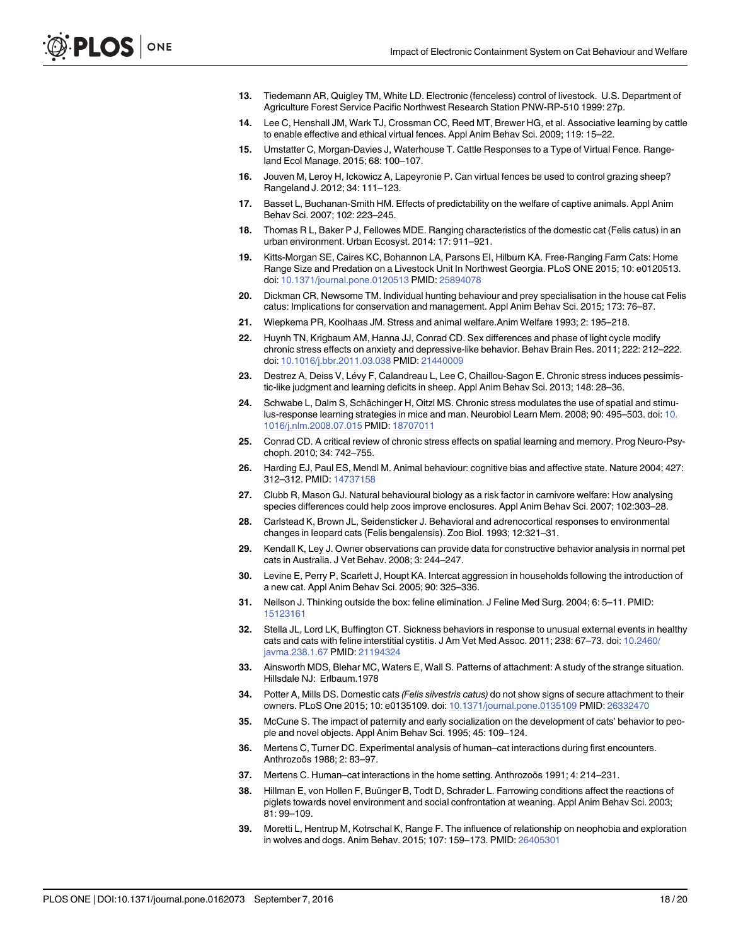- <span id="page-17-0"></span>[13.](#page-1-0) Tiedemann AR, Quigley TM, White LD. Electronic (fenceless) control of livestock. U.S. Department of Agriculture Forest Service Pacific Northwest Research Station PNW-RP-510 1999: 27p.
- [14.](#page-1-0) Lee C, Henshall JM, Wark TJ, Crossman CC, Reed MT, Brewer HG, et al. Associative learning by cattle to enable effective and ethical virtual fences. Appl Anim Behav Sci. 2009; 119: 15–22.
- [15.](#page-1-0) Umstatter C, Morgan-Davies J, Waterhouse T. Cattle Responses to a Type of Virtual Fence. Rangeland Ecol Manage. 2015; 68: 100–107.
- [16.](#page-1-0) Jouven M, Leroy H, Ickowicz A, Lapeyronie P. Can virtual fences be used to control grazing sheep? Rangeland J. 2012; 34: 111–123.
- [17.](#page-1-0) Basset L, Buchanan-Smith HM. Effects of predictability on the welfare of captive animals. Appl Anim Behav Sci. 2007; 102: 223–245.
- [18.](#page-1-0) Thomas R L, Baker P J, Fellowes MDE. Ranging characteristics of the domestic cat (Felis catus) in an urban environment. Urban Ecosyst. 2014: 17: 911–921.
- [19.](#page-1-0) Kitts-Morgan SE, Caires KC, Bohannon LA, Parsons EI, Hilburn KA. Free-Ranging Farm Cats: Home Range Size and Predation on a Livestock Unit In Northwest Georgia. PLoS ONE 2015; 10: e0120513. doi: [10.1371/journal.pone.0120513](http://dx.doi.org/10.1371/journal.pone.0120513) PMID: [25894078](http://www.ncbi.nlm.nih.gov/pubmed/25894078)
- [20.](#page-1-0) Dickman CR, Newsome TM. Individual hunting behaviour and prey specialisation in the house cat Felis catus: Implications for conservation and management. Appl Anim Behav Sci. 2015; 173: 76–87.
- [21.](#page-1-0) Wiepkema PR, Koolhaas JM. Stress and animal welfare.Anim Welfare 1993; 2: 195–218.
- [22.](#page-1-0) Huynh TN, Krigbaum AM, Hanna JJ, Conrad CD, Sex differences and phase of light cycle modify chronic stress effects on anxiety and depressive-like behavior. Behav Brain Res. 2011; 222: 212–222. doi: [10.1016/j.bbr.2011.03.038](http://dx.doi.org/10.1016/j.bbr.2011.03.038) PMID: [21440009](http://www.ncbi.nlm.nih.gov/pubmed/21440009)
- [23.](#page-1-0) Destrez A, Deiss V, Lévy F, Calandreau L, Lee C, Chaillou-Sagon E. Chronic stress induces pessimistic-like judgment and learning deficits in sheep. Appl Anim Behav Sci. 2013; 148: 28–36.
- [24.](#page-1-0) Schwabe L, Dalm S, Schächinger H, Oitzl MS. Chronic stress modulates the use of spatial and stimulus-response learning strategies in mice and man. Neurobiol Learn Mem. 2008; 90: 495–503. doi: [10.](http://dx.doi.org/10.1016/j.nlm.2008.07.015) [1016/j.nlm.2008.07.015](http://dx.doi.org/10.1016/j.nlm.2008.07.015) PMID: [18707011](http://www.ncbi.nlm.nih.gov/pubmed/18707011)
- [25.](#page-2-0) Conrad CD. A critical review of chronic stress effects on spatial learning and memory. Prog Neuro-Psychoph. 2010; 34: 742–755.
- [26.](#page-2-0) Harding EJ, Paul ES, Mendl M. Animal behaviour: cognitive bias and affective state. Nature 2004; 427: 312–312. PMID: [14737158](http://www.ncbi.nlm.nih.gov/pubmed/14737158)
- [27.](#page-2-0) Clubb R, Mason GJ. Natural behavioural biology as a risk factor in carnivore welfare: How analysing species differences could help zoos improve enclosures. Appl Anim Behav Sci. 2007; 102:303–28.
- [28.](#page-2-0) Carlstead K, Brown JL, Seidensticker J. Behavioral and adrenocortical responses to environmental changes in leopard cats (Felis bengalensis). Zoo Biol. 1993; 12:321–31.
- [29.](#page-2-0) Kendall K, Ley J. Owner observations can provide data for constructive behavior analysis in normal pet cats in Australia. J Vet Behav. 2008; 3: 244–247.
- [30.](#page-3-0) Levine E, Perry P, Scarlett J, Houpt KA. Intercat aggression in households following the introduction of a new cat. Appl Anim Behav Sci. 2005; 90: 325–336.
- 31. Neilson J. Thinking outside the box: feline elimination. J Feline Med Surg. 2004; 6: 5–11. PMID: [15123161](http://www.ncbi.nlm.nih.gov/pubmed/15123161)
- [32.](#page-3-0) Stella JL, Lord LK, Buffington CT. Sickness behaviors in response to unusual external events in healthy cats and cats with feline interstitial cystitis. J Am Vet Med Assoc. 2011; 238: 67–73. doi: [10.2460/](http://dx.doi.org/10.2460/javma.238.1.67) [javma.238.1.67](http://dx.doi.org/10.2460/javma.238.1.67) PMID: [21194324](http://www.ncbi.nlm.nih.gov/pubmed/21194324)
- [33.](#page-3-0) Ainsworth MDS, Blehar MC, Waters E, Wall S. Patterns of attachment: A study of the strange situation. Hillsdale NJ: Erlbaum.1978
- 34. Potter A, Mills DS. Domestic cats (Felis silvestris catus) do not show signs of secure attachment to their owners. PLoS One 2015; 10: e0135109. doi: [10.1371/journal.pone.0135109](http://dx.doi.org/10.1371/journal.pone.0135109) PMID: [26332470](http://www.ncbi.nlm.nih.gov/pubmed/26332470)
- [35.](#page-13-0) McCune S. The impact of paternity and early socialization on the development of cats' behavior to people and novel objects. Appl Anim Behav Sci. 1995; 45: 109–124.
- [36.](#page-3-0) Mertens C, Turner DC. Experimental analysis of human–cat interactions during first encounters. Anthrozoös 1988; 2: 83–97.
- [37.](#page-3-0) Mertens C. Human–cat interactions in the home setting. Anthrozoös 1991; 4: 214–231.
- [38.](#page-3-0) Hillman E, von Hollen F, Buünger B, Todt D, Schrader L. Farrowing conditions affect the reactions of piglets towards novel environment and social confrontation at weaning. Appl Anim Behav Sci. 2003; 81: 99–109.
- [39.](#page-3-0) Moretti L, Hentrup M, Kotrschal K, Range F. The influence of relationship on neophobia and exploration in wolves and dogs. Anim Behav. 2015; 107: 159–173. PMID: [26405301](http://www.ncbi.nlm.nih.gov/pubmed/26405301)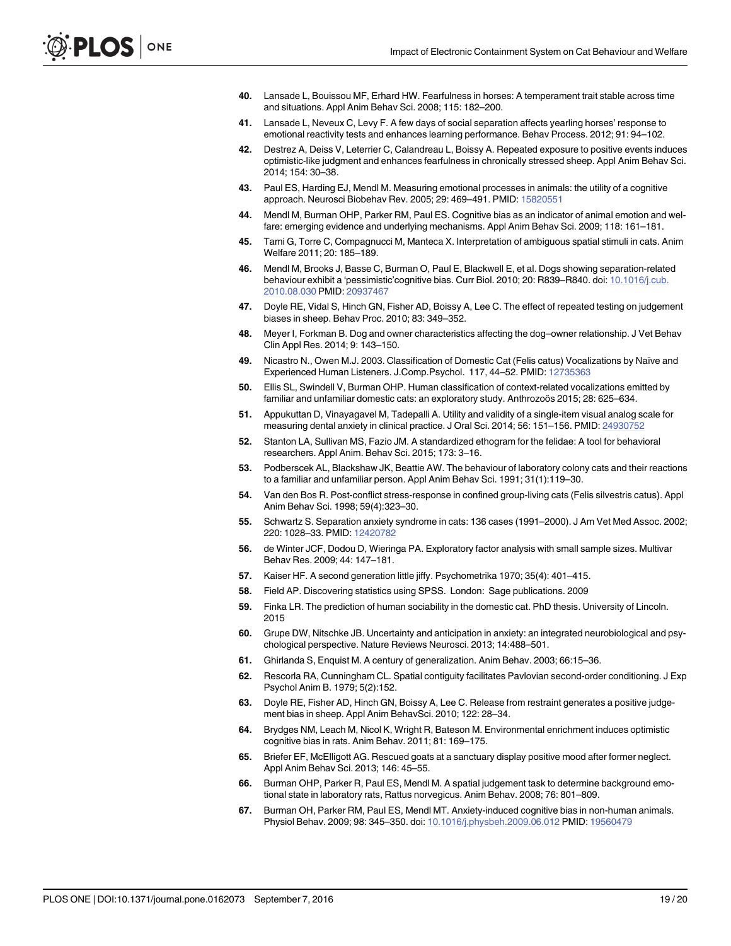- <span id="page-18-0"></span>[40.](#page-5-0) Lansade L, Bouissou MF, Erhard HW. Fearfulness in horses: A temperament trait stable across time and situations. Appl Anim Behav Sci. 2008; 115: 182–200.
- 41. Lansade L, Neveux C, Levy F. A few days of social separation affects yearling horses' response to emotional reactivity tests and enhances learning performance. Behav Process. 2012; 91: 94–102.
- [42.](#page-5-0) Destrez A, Deiss V, Leterrier C, Calandreau L, Boissy A. Repeated exposure to positive events induces optimistic-like judgment and enhances fearfulness in chronically stressed sheep. Appl Anim Behav Sci. 2014; 154: 30–38.
- [43.](#page-5-0) Paul ES, Harding EJ, Mendl M. Measuring emotional processes in animals: the utility of a cognitive approach. Neurosci Biobehav Rev. 2005; 29: 469–491. PMID: [15820551](http://www.ncbi.nlm.nih.gov/pubmed/15820551)
- [44.](#page-5-0) Mendl M, Burman OHP, Parker RM, Paul ES. Cognitive bias as an indicator of animal emotion and welfare: emerging evidence and underlying mechanisms. Appl Anim Behav Sci. 2009; 118: 161–181.
- [45.](#page-5-0) Tami G, Torre C, Compagnucci M, Manteca X. Interpretation of ambiguous spatial stimuli in cats. Anim Welfare 2011; 20: 185–189.
- [46.](#page-5-0) Mendl M, Brooks J, Basse C, Burman O, Paul E, Blackwell E, et al. Dogs showing separation-related behaviour exhibit a 'pessimistic'cognitive bias. Curr Biol. 2010; 20: R839-R840. doi: [10.1016/j.cub.](http://dx.doi.org/10.1016/j.cub.2010.08.030) [2010.08.030](http://dx.doi.org/10.1016/j.cub.2010.08.030) PMID: [20937467](http://www.ncbi.nlm.nih.gov/pubmed/20937467)
- [47.](#page-6-0) Doyle RE, Vidal S, Hinch GN, Fisher AD, Boissy A, Lee C. The effect of repeated testing on judgement biases in sheep. Behav Proc. 2010; 83: 349–352.
- [48.](#page-6-0) Meyer I, Forkman B. Dog and owner characteristics affecting the dog-owner relationship. J Vet Behav Clin Appl Res. 2014; 9: 143–150.
- [49.](#page-6-0) Nicastro N., Owen M.J. 2003. Classification of Domestic Cat (Felis catus) Vocalizations by Naïve and Experienced Human Listeners. J.Comp.Psychol. 117, 44–52. PMID: [12735363](http://www.ncbi.nlm.nih.gov/pubmed/12735363)
- [50.](#page-6-0) Ellis SL, Swindell V, Burman OHP. Human classification of context-related vocalizations emitted by familiar and unfamiliar domestic cats: an exploratory study. Anthrozoös 2015; 28: 625–634.
- [51.](#page-7-0) Appukuttan D, Vinayagavel M, Tadepalli A. Utility and validity of a single-item visual analog scale for measuring dental anxiety in clinical practice. J Oral Sci. 2014; 56: 151–156. PMID: [24930752](http://www.ncbi.nlm.nih.gov/pubmed/24930752)
- [52.](#page-7-0) Stanton LA, Sullivan MS, Fazio JM. A standardized ethogram for the felidae: A tool for behavioral researchers. Appl Anim. Behav Sci. 2015; 173: 3–16.
- [53.](#page-7-0) Podberscek AL, Blackshaw JK, Beattie AW. The behaviour of laboratory colony cats and their reactions to a familiar and unfamiliar person. Appl Anim Behav Sci. 1991; 31(1):119–30.
- [54.](#page-7-0) Van den Bos R. Post-conflict stress-response in confined group-living cats (Felis silvestris catus). Appl Anim Behav Sci. 1998; 59(4):323–30.
- [55.](#page-7-0) Schwartz S. Separation anxiety syndrome in cats: 136 cases (1991–2000). J Am Vet Med Assoc. 2002; 220: 1028–33. PMID: [12420782](http://www.ncbi.nlm.nih.gov/pubmed/12420782)
- [56.](#page-7-0) de Winter JCF, Dodou D, Wieringa PA. Exploratory factor analysis with small sample sizes. Multivar Behav Res. 2009; 44: 147–181.
- [57.](#page-7-0) Kaiser HF. A second generation little jiffy. Psychometrika 1970; 35(4): 401–415.
- [58.](#page-8-0) Field AP. Discovering statistics using SPSS. London: Sage publications. 2009
- [59.](#page-13-0) Finka LR. The prediction of human sociability in the domestic cat. PhD thesis. University of Lincoln. 2015
- [60.](#page-14-0) Grupe DW, Nitschke JB. Uncertainty and anticipation in anxiety: an integrated neurobiological and psychological perspective. Nature Reviews Neurosci. 2013; 14:488–501.
- [61.](#page-14-0) Ghirlanda S, Enquist M. A century of generalization. Anim Behav. 2003; 66:15–36.
- [62.](#page-14-0) Rescorla RA, Cunningham CL. Spatial contiguity facilitates Pavlovian second-order conditioning. J Exp Psychol Anim B. 1979; 5(2):152.
- [63.](#page-14-0) Doyle RE, Fisher AD, Hinch GN, Boissy A, Lee C. Release from restraint generates a positive judgement bias in sheep. Appl Anim BehavSci. 2010; 122: 28–34.
- 64. Brydges NM, Leach M, Nicol K, Wright R, Bateson M. Environmental enrichment induces optimistic cognitive bias in rats. Anim Behav. 2011; 81: 169–175.
- [65.](#page-14-0) Briefer EF, McElligott AG. Rescued goats at a sanctuary display positive mood after former neglect. Appl Anim Behav Sci. 2013; 146: 45–55.
- [66.](#page-14-0) Burman OHP, Parker R, Paul ES, Mendl M. A spatial judgement task to determine background emotional state in laboratory rats, Rattus norvegicus. Anim Behav. 2008; 76: 801–809.
- [67.](#page-14-0) Burman OH, Parker RM, Paul ES, Mendl MT. Anxiety-induced cognitive bias in non-human animals. Physiol Behav. 2009; 98: 345–350. doi: [10.1016/j.physbeh.2009.06.012](http://dx.doi.org/10.1016/j.physbeh.2009.06.012) PMID: [19560479](http://www.ncbi.nlm.nih.gov/pubmed/19560479)